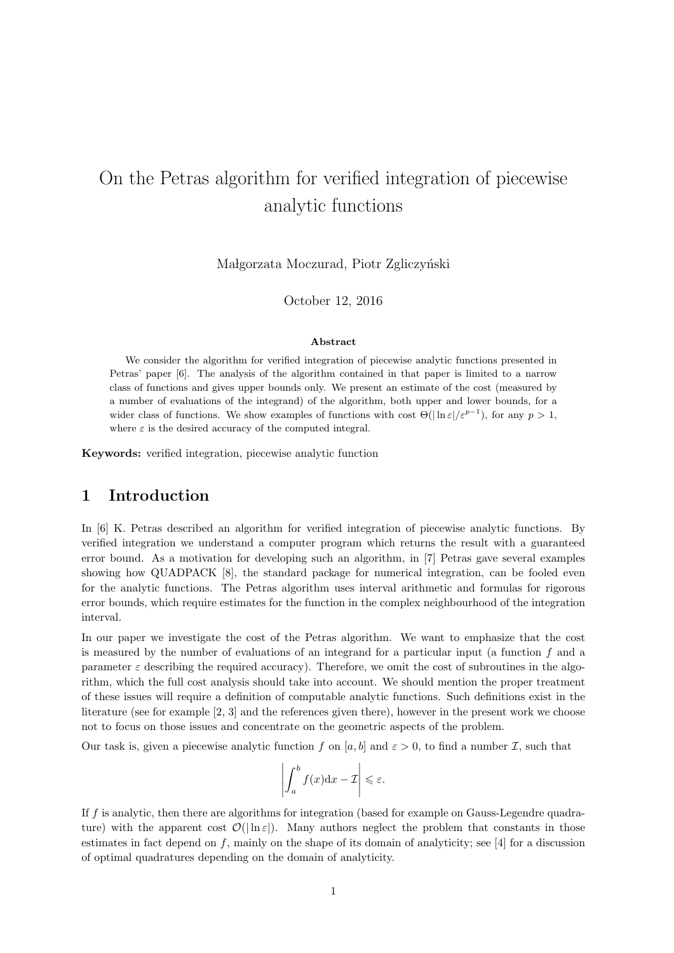# On the Petras algorithm for verified integration of piecewise analytic functions

Małgorzata Moczurad, Piotr Zgliczyński

October 12, 2016

#### Abstract

We consider the algorithm for verified integration of piecewise analytic functions presented in Petras' paper [6]. The analysis of the algorithm contained in that paper is limited to a narrow class of functions and gives upper bounds only. We present an estimate of the cost (measured by a number of evaluations of the integrand) of the algorithm, both upper and lower bounds, for a wider class of functions. We show examples of functions with cost  $\Theta(|\ln \varepsilon|/\varepsilon^{p-1})$ , for any  $p > 1$ , where  $\varepsilon$  is the desired accuracy of the computed integral.

Keywords: verified integration, piecewise analytic function

### 1 Introduction

In [6] K. Petras described an algorithm for verified integration of piecewise analytic functions. By verified integration we understand a computer program which returns the result with a guaranteed error bound. As a motivation for developing such an algorithm, in [7] Petras gave several examples showing how QUADPACK [8], the standard package for numerical integration, can be fooled even for the analytic functions. The Petras algorithm uses interval arithmetic and formulas for rigorous error bounds, which require estimates for the function in the complex neighbourhood of the integration interval.

In our paper we investigate the cost of the Petras algorithm. We want to emphasize that the cost is measured by the number of evaluations of an integrand for a particular input (a function  $f$  and a parameter  $\varepsilon$  describing the required accuracy). Therefore, we omit the cost of subroutines in the algorithm, which the full cost analysis should take into account. We should mention the proper treatment of these issues will require a definition of computable analytic functions. Such definitions exist in the literature (see for example [2, 3] and the references given there), however in the present work we choose not to focus on those issues and concentrate on the geometric aspects of the problem.

Our task is, given a piecewise analytic function f on [a, b] and  $\varepsilon > 0$ , to find a number I, such that

$$
\left| \int_a^b f(x) \mathrm{d}x - \mathcal{I} \right| \leqslant \varepsilon.
$$

If f is analytic, then there are algorithms for integration (based for example on Gauss-Legendre quadrature) with the apparent cost  $\mathcal{O}(|\ln \varepsilon|)$ . Many authors neglect the problem that constants in those estimates in fact depend on f, mainly on the shape of its domain of analyticity; see [4] for a discussion of optimal quadratures depending on the domain of analyticity.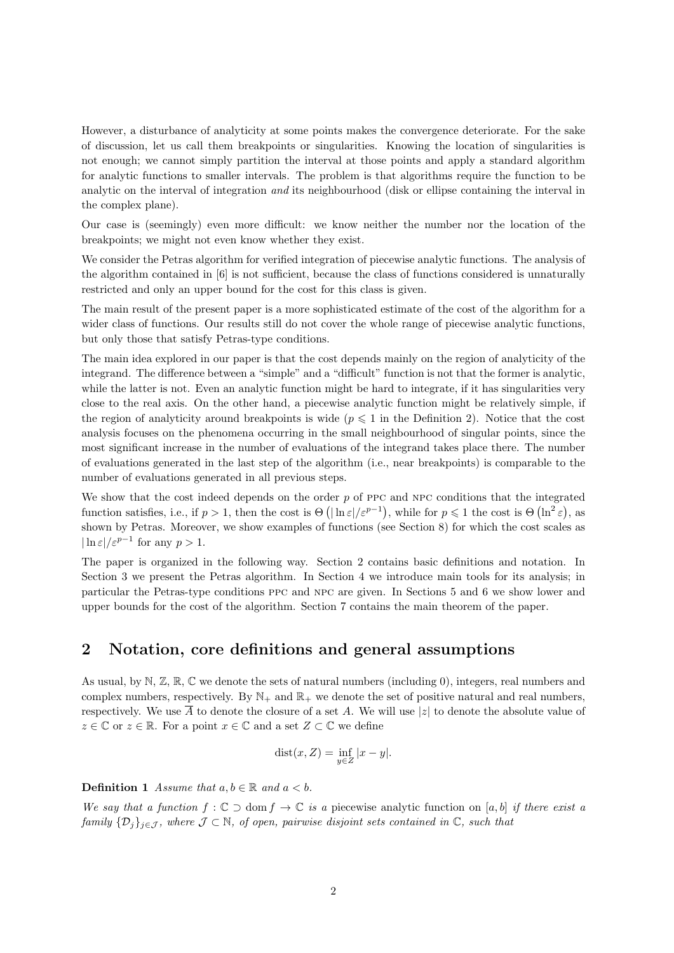However, a disturbance of analyticity at some points makes the convergence deteriorate. For the sake of discussion, let us call them breakpoints or singularities. Knowing the location of singularities is not enough; we cannot simply partition the interval at those points and apply a standard algorithm for analytic functions to smaller intervals. The problem is that algorithms require the function to be analytic on the interval of integration and its neighbourhood (disk or ellipse containing the interval in the complex plane).

Our case is (seemingly) even more difficult: we know neither the number nor the location of the breakpoints; we might not even know whether they exist.

We consider the Petras algorithm for verified integration of piecewise analytic functions. The analysis of the algorithm contained in [6] is not sufficient, because the class of functions considered is unnaturally restricted and only an upper bound for the cost for this class is given.

The main result of the present paper is a more sophisticated estimate of the cost of the algorithm for a wider class of functions. Our results still do not cover the whole range of piecewise analytic functions, but only those that satisfy Petras-type conditions.

The main idea explored in our paper is that the cost depends mainly on the region of analyticity of the integrand. The difference between a "simple" and a "difficult" function is not that the former is analytic, while the latter is not. Even an analytic function might be hard to integrate, if it has singularities very close to the real axis. On the other hand, a piecewise analytic function might be relatively simple, if the region of analyticity around breakpoints is wide ( $p \leq 1$  in the Definition 2). Notice that the cost analysis focuses on the phenomena occurring in the small neighbourhood of singular points, since the most significant increase in the number of evaluations of the integrand takes place there. The number of evaluations generated in the last step of the algorithm (i.e., near breakpoints) is comparable to the number of evaluations generated in all previous steps.

We show that the cost indeed depends on the order  $p$  of PPC and NPC conditions that the integrated function satisfies, i.e., if  $p > 1$ , then the cost is  $\Theta\left(|\ln \varepsilon|/\varepsilon^{p-1}\right)$ , while for  $p \leq 1$  the cost is  $\Theta\left(\ln^2 \varepsilon\right)$ , as shown by Petras. Moreover, we show examples of functions (see Section 8) for which the cost scales as  $\ln \varepsilon / \varepsilon^{p-1}$  for any  $p > 1$ .

The paper is organized in the following way. Section 2 contains basic definitions and notation. In Section 3 we present the Petras algorithm. In Section 4 we introduce main tools for its analysis; in particular the Petras-type conditions ppc and npc are given. In Sections 5 and 6 we show lower and upper bounds for the cost of the algorithm. Section 7 contains the main theorem of the paper.

### 2 Notation, core definitions and general assumptions

As usual, by  $\mathbb{N}, \mathbb{Z}, \mathbb{R}, \mathbb{C}$  we denote the sets of natural numbers (including 0), integers, real numbers and complex numbers, respectively. By  $\mathbb{N}_+$  and  $\mathbb{R}_+$  we denote the set of positive natural and real numbers, respectively. We use  $\overline{A}$  to denote the closure of a set A. We will use |z| to denote the absolute value of  $z \in \mathbb{C}$  or  $z \in \mathbb{R}$ . For a point  $x \in \mathbb{C}$  and a set  $Z \subset \mathbb{C}$  we define

$$
dist(x, Z) = \inf_{y \in Z} |x - y|.
$$

**Definition 1** Assume that  $a, b \in \mathbb{R}$  and  $a < b$ .

We say that a function  $f: \mathbb{C} \supset \text{dom } f \to \mathbb{C}$  is a piecewise analytic function on [a, b] if there exist a family  $\{\mathcal{D}_j\}_{j\in\mathcal{J}}$ , where  $\mathcal{J}\subset\mathbb{N}$ , of open, pairwise disjoint sets contained in  $\mathbb{C}$ , such that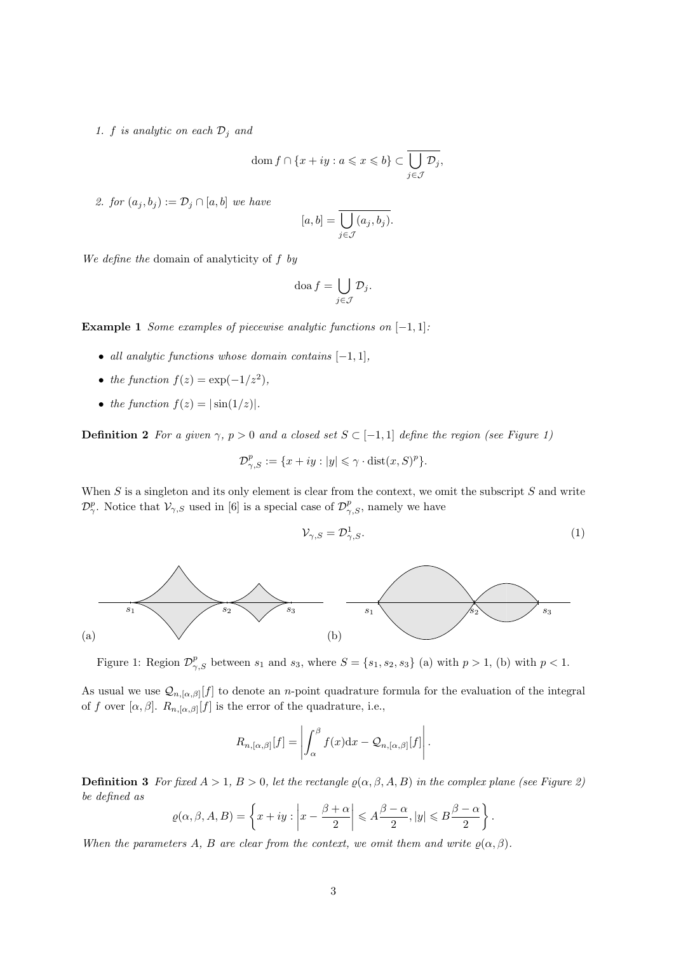1. f is analytic on each  $\mathcal{D}_j$  and

$$
\operatorname{dom} f \cap \{x+iy : a \leqslant x \leqslant b\} \subset \overline{\bigcup_{j \in \mathcal{J}} \mathcal{D}_j},
$$

2. for  $(a_i, b_j) := \mathcal{D}_j \cap [a, b]$  we have

$$
[a, b] = \overline{\bigcup_{j \in \mathcal{J}} (a_j, b_j)}.
$$

We define the domain of analyticity of  $f$  by

$$
\operatorname{doa} f = \bigcup_{j \in \mathcal{J}} \mathcal{D}_j.
$$

**Example 1** Some examples of piecewise analytic functions on  $[-1, 1]$ :

- all analytic functions whose domain contains  $[-1, 1]$ ,
- the function  $f(z) = \exp(-1/z^2)$ ,
- the function  $f(z) = |\sin(1/z)|$ .

**Definition 2** For a given  $\gamma$ ,  $p > 0$  and a closed set  $S \subset [-1,1]$  define the region (see Figure 1)

$$
\mathcal{D}^p_{\gamma,S} := \{ x + iy : |y| \leqslant \gamma \cdot \text{dist}(x,S)^p \}.
$$

When  $S$  is a singleton and its only element is clear from the context, we omit the subscript  $S$  and write  $\mathcal{D}_{\gamma}^p$ . Notice that  $\mathcal{V}_{\gamma,S}$  used in [6] is a special case of  $\mathcal{D}_{\gamma,S}^p$ , namely we have

$$
\mathcal{V}_{\gamma,S} = \mathcal{D}_{\gamma,S}^1. \tag{1}
$$



Figure 1: Region  $\mathcal{D}_{\gamma,S}^p$  between  $s_1$  and  $s_3$ , where  $S = \{s_1, s_2, s_3\}$  (a) with  $p > 1$ , (b) with  $p < 1$ .

As usual we use  $\mathcal{Q}_{n,[\alpha,\beta]}[f]$  to denote an n-point quadrature formula for the evaluation of the integral of f over  $[\alpha, \beta]$ .  $R_{n, [\alpha, \beta]}[f]$  is the error of the quadrature, i.e.,

$$
R_{n,[\alpha,\beta]}[f] = \left| \int_{\alpha}^{\beta} f(x) \mathrm{d}x - \mathcal{Q}_{n,[\alpha,\beta]}[f] \right|.
$$

**Definition 3** For fixed  $A > 1$ ,  $B > 0$ , let the rectangle  $\varrho(\alpha, \beta, A, B)$  in the complex plane (see Figure 2) be defined as

$$
\varrho(\alpha,\beta,A,B) = \left\{ x + iy : \left| x - \frac{\beta + \alpha}{2} \right| \leqslant A \frac{\beta - \alpha}{2}, |y| \leqslant B \frac{\beta - \alpha}{2} \right\}.
$$

When the parameters A, B are clear from the context, we omit them and write  $\varrho(\alpha, \beta)$ .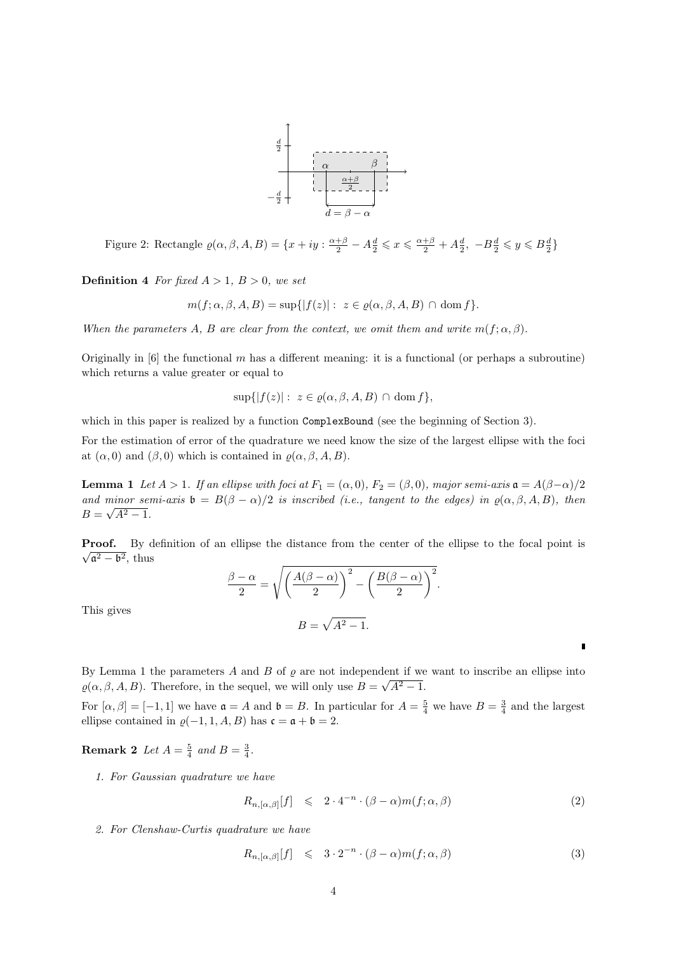

Figure 2: Rectangle  $\varrho(\alpha, \beta, A, B) = \{x + iy : \frac{\alpha + \beta}{2} - A\frac{d}{2} \leq x \leq \frac{\alpha + \beta}{2} + A\frac{d}{2}, -B\frac{d}{2} \leq y \leq B\frac{d}{2}\}\$ 

**Definition 4** For fixed  $A > 1$ ,  $B > 0$ , we set

$$
m(f; \alpha, \beta, A, B) = \sup\{|f(z)| : z \in \varrho(\alpha, \beta, A, B) \cap \text{dom } f\}.
$$

When the parameters A, B are clear from the context, we omit them and write  $m(f; \alpha, \beta)$ .

Originally in  $[6]$  the functional m has a different meaning: it is a functional (or perhaps a subroutine) which returns a value greater or equal to

$$
\sup\{|f(z)|:\ z\in\varrho(\alpha,\beta,A,B)\cap\mathrm{dom}\,f\},\
$$

which in this paper is realized by a function ComplexBound (see the beginning of Section 3).

For the estimation of error of the quadrature we need know the size of the largest ellipse with the foci at  $(\alpha, 0)$  and  $(\beta, 0)$  which is contained in  $\rho(\alpha, \beta, A, B)$ .

**Lemma 1** Let  $A > 1$ . If an ellipse with foci at  $F_1 = (\alpha, 0)$ ,  $F_2 = (\beta, 0)$ , major semi-axis  $\mathfrak{a} = A(\beta - \alpha)/2$ and minor semi-axis  $\mathfrak{b} = B(\beta - \alpha)/2$  is inscribed (i.e., tangent to the edges) in  $\varrho(\alpha, \beta, A, B)$ , then  $B = \sqrt{A^2 - 1}.$ 

**Proof.** By definition of an ellipse the distance from the center of the ellipse to the focal point is  $\mathfrak{a}^2-\mathfrak{b}^2$ , thus

$$
\frac{\beta - \alpha}{2} = \sqrt{\left(\frac{A(\beta - \alpha)}{2}\right)^2 - \left(\frac{B(\beta - \alpha)}{2}\right)^2}.
$$

$$
B = \sqrt{A^2 - 1}.
$$

This gives

By Lemma 1 the parameters A and B of  $\varrho$  are not independent if we want to inscribe an ellipse into  $\varrho(\alpha, \beta, A, B)$ . Therefore, in the sequel, we will only use  $B = \sqrt{A^2 - 1}$ .

For  $[\alpha, \beta] = [-1, 1]$  we have  $\mathfrak{a} = A$  and  $\mathfrak{b} = B$ . In particular for  $A = \frac{5}{4}$  we have  $B = \frac{3}{4}$  and the largest ellipse contained in  $\varrho(-1, 1, A, B)$  has  $\mathfrak{c} = \mathfrak{a} + \mathfrak{b} = 2$ .

**Remark 2** Let  $A = \frac{5}{4}$  and  $B = \frac{3}{4}$ .

1. For Gaussian quadrature we have

$$
R_{n,[\alpha,\beta]}[f] \leqslant 2 \cdot 4^{-n} \cdot (\beta - \alpha)m(f;\alpha,\beta) \tag{2}
$$

 $\blacksquare$ 

2. For Clenshaw-Curtis quadrature we have

$$
R_{n,[\alpha,\beta]}[f] \leqslant 3 \cdot 2^{-n} \cdot (\beta - \alpha)m(f;\alpha,\beta) \tag{3}
$$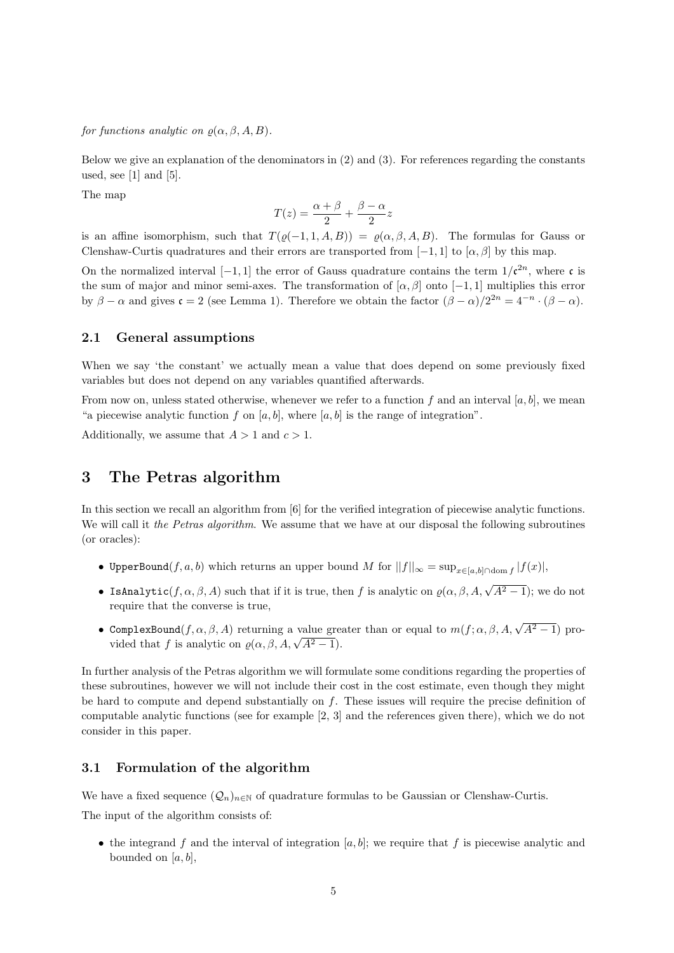for functions analytic on  $\rho(\alpha, \beta, A, B)$ .

Below we give an explanation of the denominators in (2) and (3). For references regarding the constants used, see [1] and [5].

The map

$$
T(z) = \frac{\alpha + \beta}{2} + \frac{\beta - \alpha}{2}z
$$

is an affine isomorphism, such that  $T(\varrho(-1, 1, A, B)) = \varrho(\alpha, \beta, A, B)$ . The formulas for Gauss or Clenshaw-Curtis quadratures and their errors are transported from  $[-1, 1]$  to  $[\alpha, \beta]$  by this map.

On the normalized interval  $[-1,1]$  the error of Gauss quadrature contains the term  $1/\mathfrak{c}^{2n}$ , where c is the sum of major and minor semi-axes. The transformation of  $[\alpha, \beta]$  onto  $[-1, 1]$  multiplies this error by  $\beta - \alpha$  and gives  $\mathfrak{c} = 2$  (see Lemma 1). Therefore we obtain the factor  $(\beta - \alpha)/2^{2n} = 4^{-n} \cdot (\beta - \alpha)$ .

#### 2.1 General assumptions

When we say 'the constant' we actually mean a value that does depend on some previously fixed variables but does not depend on any variables quantified afterwards.

From now on, unless stated otherwise, whenever we refer to a function f and an interval  $[a, b]$ , we mean "a piecewise analytic function f on  $[a, b]$ , where  $[a, b]$  is the range of integration".

Additionally, we assume that  $A > 1$  and  $c > 1$ .

## 3 The Petras algorithm

In this section we recall an algorithm from [6] for the verified integration of piecewise analytic functions. We will call it the Petras algorithm. We assume that we have at our disposal the following subroutines (or oracles):

- UpperBound $(f, a, b)$  which returns an upper bound M for  $||f||_{\infty} = \sup_{x \in [a, b] \cap \text{dom } f} |f(x)|$ ,
- IsAnalytic( $f, \alpha, \beta, A$ ) such that if it is true, then f is analytic on  $\varrho(\alpha, \beta, A, \sqrt{A^2 1})$ ; we do not require that the converse is true,
- ComplexBound $(f, \alpha, \beta, A)$  returning a value greater than or equal to  $m(f; \alpha, \beta, A, \sqrt{A^2 1})$  provided that f is analytic on  $\varrho(\alpha, \beta, A, \sqrt{A^2 - 1})$ .

In further analysis of the Petras algorithm we will formulate some conditions regarding the properties of these subroutines, however we will not include their cost in the cost estimate, even though they might be hard to compute and depend substantially on  $f$ . These issues will require the precise definition of computable analytic functions (see for example [2, 3] and the references given there), which we do not consider in this paper.

#### 3.1 Formulation of the algorithm

We have a fixed sequence  $(Q_n)_{n\in\mathbb{N}}$  of quadrature formulas to be Gaussian or Clenshaw-Curtis. The input of the algorithm consists of:

• the integrand f and the interval of integration  $[a, b]$ ; we require that f is piecewise analytic and bounded on  $[a, b]$ ,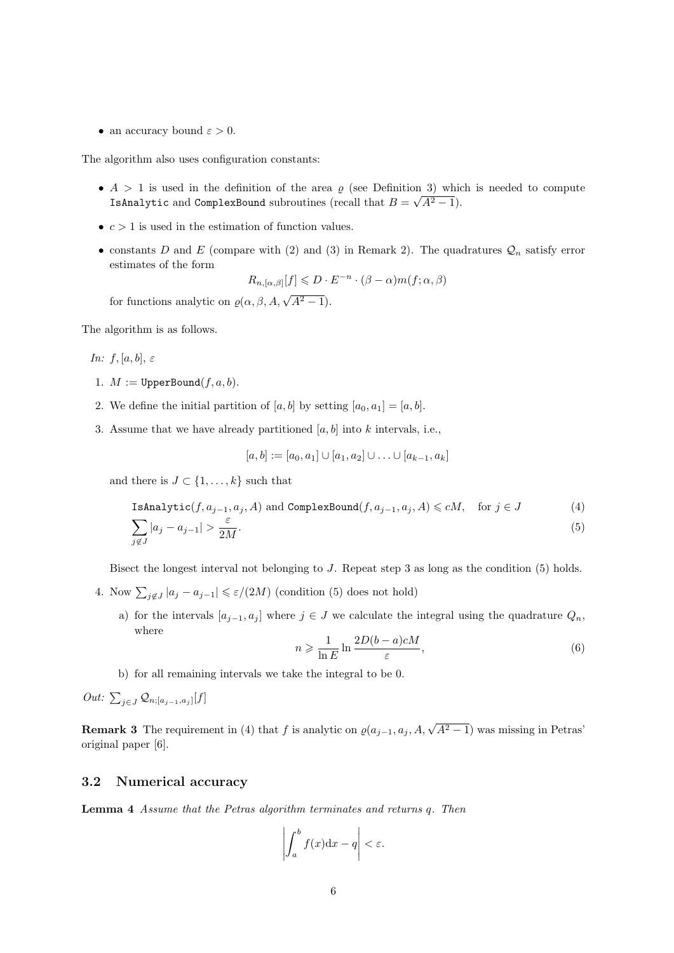• an accuracy bound  $\varepsilon > 0$ .

The algorithm also uses configuration constants:

- $A > 1$  is used in the definition of the area  $\varrho$  (see Definition 3) which is needed to compute **IsAnalytic** and ComplexBound subroutines (recall that  $B = \sqrt{A^2 - 1}$ ).
- $c > 1$  is used in the estimation of function values.
- constants D and E (compare with (2) and (3) in Remark 2). The quadratures  $\mathcal{Q}_n$  satisfy error estimates of the form

$$
R_{n,[\alpha,\beta]}[f] \leqslant D \cdot E^{-n} \cdot (\beta - \alpha) m(f; \alpha, \beta)
$$

for functions analytic on  $\varrho(\alpha, \beta, A, \sqrt{A^2 - 1}).$ 

The algorithm is as follows.

In:  $f, [a, b], \varepsilon$ 

- 1.  $M := \text{UpperBound}(f, a, b)$ .
- 2. We define the initial partition of  $[a, b]$  by setting  $[a_0, a_1] = [a, b]$ .
- 3. Assume that we have already partitioned  $[a, b]$  into k intervals, i.e.,

$$
[a, b] := [a_0, a_1] \cup [a_1, a_2] \cup \ldots \cup [a_{k-1}, a_k]
$$

and there is  $J \subset \{1, \ldots, k\}$  such that

$$
\text{IsAnalytic}(f, a_{j-1}, a_j, A) \text{ and } \text{ComplexBound}(f, a_{j-1}, a_j, A) \leq cM, \quad \text{for } j \in J \tag{4}
$$

$$
|a_j - a_{j-1}| > \frac{\varepsilon}{2M}.\tag{5}
$$

Bisect the longest interval not belonging to J. Repeat step 3 as long as the condition (5) holds.

- 4. Now  $\sum_{j \notin J} |a_j a_{j-1}| \leqslant \varepsilon/(2M)$  (condition (5) does not hold)
	- a) for the intervals  $[a_{j-1}, a_j]$  where  $j \in J$  we calculate the integral using the quadrature  $Q_n$ , where

$$
n \geqslant \frac{1}{\ln E} \ln \frac{2D(b-a)cM}{\varepsilon},\tag{6}
$$

b) for all remaining intervals we take the integral to be 0.

Out:  $\sum_{j\in J} \mathcal{Q}_{n;\lfloor a_{j-1},a_j\rfloor}[f]$ 

 $\sum$ j∉J

**Remark 3** The requirement in (4) that f is analytic on  $\varrho(a_{j-1}, a_j, A, \sqrt{A^2 - 1})$  was missing in Petras' original paper [6].

#### 3.2 Numerical accuracy

Lemma 4 Assume that the Petras algorithm terminates and returns q. Then

$$
\left| \int_{a}^{b} f(x) \mathrm{d}x - q \right| < \varepsilon.
$$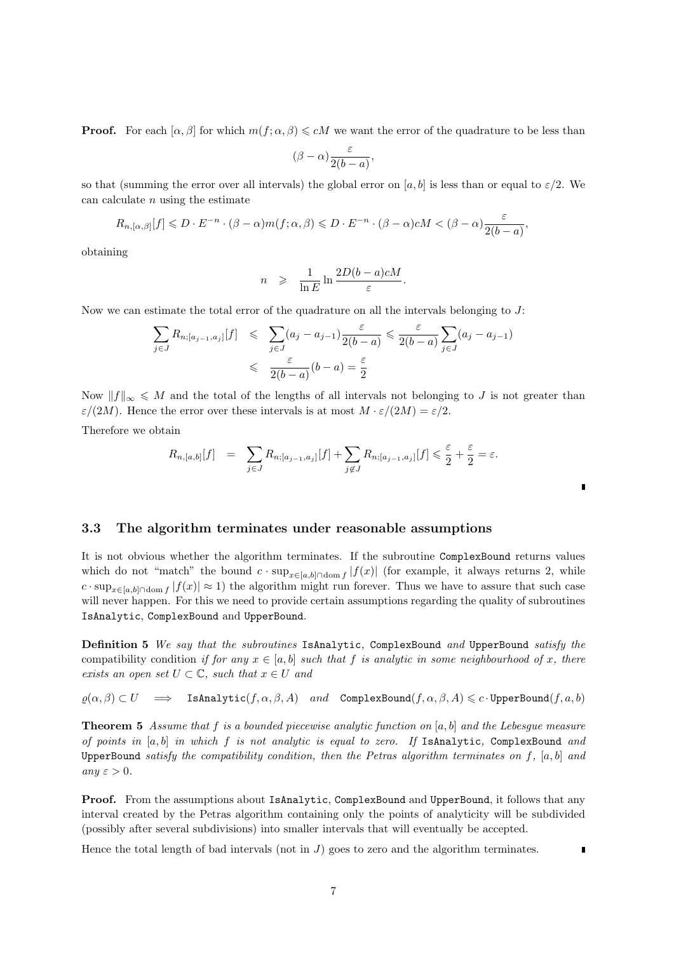**Proof.** For each  $[\alpha, \beta]$  for which  $m(f; \alpha, \beta) \leq cM$  we want the error of the quadrature to be less than

$$
(\beta - \alpha) \frac{\varepsilon}{2(b-a)},
$$

so that (summing the error over all intervals) the global error on [a, b] is less than or equal to  $\varepsilon/2$ . We can calculate  $n$  using the estimate

$$
R_{n,[\alpha,\beta]}[f] \leq D \cdot E^{-n} \cdot (\beta - \alpha) m(f;\alpha,\beta) \leq D \cdot E^{-n} \cdot (\beta - \alpha) c M < (\beta - \alpha) \frac{\varepsilon}{2(b-a)},
$$

obtaining

$$
n \geqslant \frac{1}{\ln E} \ln \frac{2D(b-a)cM}{\varepsilon}.
$$

Now we can estimate the total error of the quadrature on all the intervals belonging to  $J$ :

$$
\sum_{j \in J} R_{n;[a_{j-1},a_j]}[f] \leqslant \sum_{j \in J} (a_j - a_{j-1}) \frac{\varepsilon}{2(b-a)} \leqslant \frac{\varepsilon}{2(b-a)} \sum_{j \in J} (a_j - a_{j-1})
$$
  

$$
\leqslant \frac{\varepsilon}{2(b-a)} (b-a) = \frac{\varepsilon}{2}
$$

Now  $||f||_{\infty} \leqslant M$  and the total of the lengths of all intervals not belonging to J is not greater than  $\varepsilon/(2M)$ . Hence the error over these intervals is at most  $M \cdot \varepsilon/(2M) = \varepsilon/2$ .

Therefore we obtain

$$
R_{n,[a,b]}[f] = \sum_{j \in J} R_{n,[a_{j-1},a_j]}[f] + \sum_{j \notin J} R_{n,[a_{j-1},a_j]}[f] \leq \frac{\varepsilon}{2} + \frac{\varepsilon}{2} = \varepsilon.
$$

#### 3.3 The algorithm terminates under reasonable assumptions

It is not obvious whether the algorithm terminates. If the subroutine ComplexBound returns values which do not "match" the bound  $c \cdot \sup_{x \in [a,b] \cap \text{dom } f} |f(x)|$  (for example, it always returns 2, while  $c \cdot \sup_{x \in [a,b] \cap \text{dom } f} |f(x)| \approx 1$  the algorithm might run forever. Thus we have to assure that such case will never happen. For this we need to provide certain assumptions regarding the quality of subroutines IsAnalytic, ComplexBound and UpperBound.

Definition 5 We say that the subroutines IsAnalytic, ComplexBound and UpperBound satisfy the compatibility condition if for any  $x \in [a, b]$  such that f is analytic in some neighbourhood of x, there exists an open set  $U \subset \mathbb{C}$ , such that  $x \in U$  and

 $\varrho(\alpha, \beta) \subset U \implies$  IsAnalytic $(f, \alpha, \beta, A)$  and ComplexBound $(f, \alpha, \beta, A) \leqslant c \cdot$ UpperBound $(f, a, b)$ 

**Theorem 5** Assume that f is a bounded piecewise analytic function on  $[a, b]$  and the Lebesgue measure of points in  $[a, b]$  in which  $f$  is not analytic is equal to zero. If IsAnalytic, ComplexBound and UpperBound satisfy the compatibility condition, then the Petras algorithm terminates on f, [a, b] and any  $\varepsilon > 0$ .

Proof. From the assumptions about IsAnalytic, ComplexBound and UpperBound, it follows that any interval created by the Petras algorithm containing only the points of analyticity will be subdivided (possibly after several subdivisions) into smaller intervals that will eventually be accepted.

Hence the total length of bad intervals (not in  $J$ ) goes to zero and the algorithm terminates.  $\blacksquare$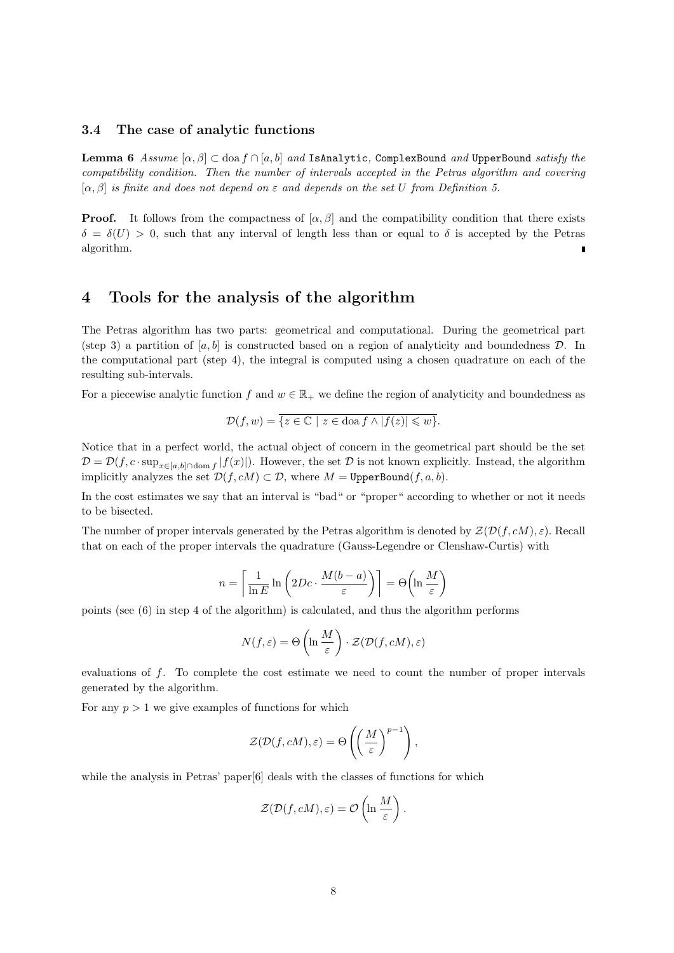#### 3.4 The case of analytic functions

**Lemma 6** Assume  $[\alpha, \beta] \subset \text{doa } f \cap [a, b]$  and IsAnalytic, ComplexBound and UpperBound satisfy the compatibility condition. Then the number of intervals accepted in the Petras algorithm and covering  $[\alpha, \beta]$  is finite and does not depend on  $\varepsilon$  and depends on the set U from Definition 5.

**Proof.** It follows from the compactness of  $[\alpha, \beta]$  and the compatibility condition that there exists  $\delta = \delta(U) > 0$ , such that any interval of length less than or equal to  $\delta$  is accepted by the Petras algorithm.

### 4 Tools for the analysis of the algorithm

The Petras algorithm has two parts: geometrical and computational. During the geometrical part (step 3) a partition of [a, b] is constructed based on a region of analyticity and boundedness  $\mathcal{D}$ . In the computational part (step 4), the integral is computed using a chosen quadrature on each of the resulting sub-intervals.

For a piecewise analytic function f and  $w \in \mathbb{R}_+$  we define the region of analyticity and boundedness as

$$
\mathcal{D}(f, w) = \overline{\{z \in \mathbb{C} \mid z \in \text{doa} f \land |f(z)| \leqslant w\}}.
$$

Notice that in a perfect world, the actual object of concern in the geometrical part should be the set  $\mathcal{D} = \mathcal{D}(f, c \cdot \sup_{x \in [a, b] \cap \text{dom } f} |f(x)|)$ . However, the set  $\mathcal D$  is not known explicitly. Instead, the algorithm implicitly analyzes the set  $\mathcal{D}(f, cM) \subset \mathcal{D}$ , where  $M = \text{UpperBound}(f, a, b)$ .

In the cost estimates we say that an interval is "bad" or "proper" according to whether or not it needs to be bisected.

The number of proper intervals generated by the Petras algorithm is denoted by  $\mathcal{Z}(\mathcal{D}(f, cM), \varepsilon)$ . Recall that on each of the proper intervals the quadrature (Gauss-Legendre or Clenshaw-Curtis) with

$$
n = \left\lceil \frac{1}{\ln E} \ln \left( 2Dc \cdot \frac{M(b-a)}{\varepsilon} \right) \right\rceil = \Theta \left( \ln \frac{M}{\varepsilon} \right)
$$

points (see (6) in step 4 of the algorithm) is calculated, and thus the algorithm performs

$$
N(f, \varepsilon) = \Theta\left(\ln \frac{M}{\varepsilon}\right) \cdot \mathcal{Z}(\mathcal{D}(f, cM), \varepsilon)
$$

evaluations of f. To complete the cost estimate we need to count the number of proper intervals generated by the algorithm.

For any  $p > 1$  we give examples of functions for which

$$
\mathcal{Z}(\mathcal{D}(f, cM), \varepsilon) = \Theta\left(\left(\frac{M}{\varepsilon}\right)^{p-1}\right),\,
$$

while the analysis in Petras' paper<sup>[6]</sup> deals with the classes of functions for which

$$
\mathcal{Z}(\mathcal{D}(f, cM), \varepsilon) = \mathcal{O}\left(\ln \frac{M}{\varepsilon}\right).
$$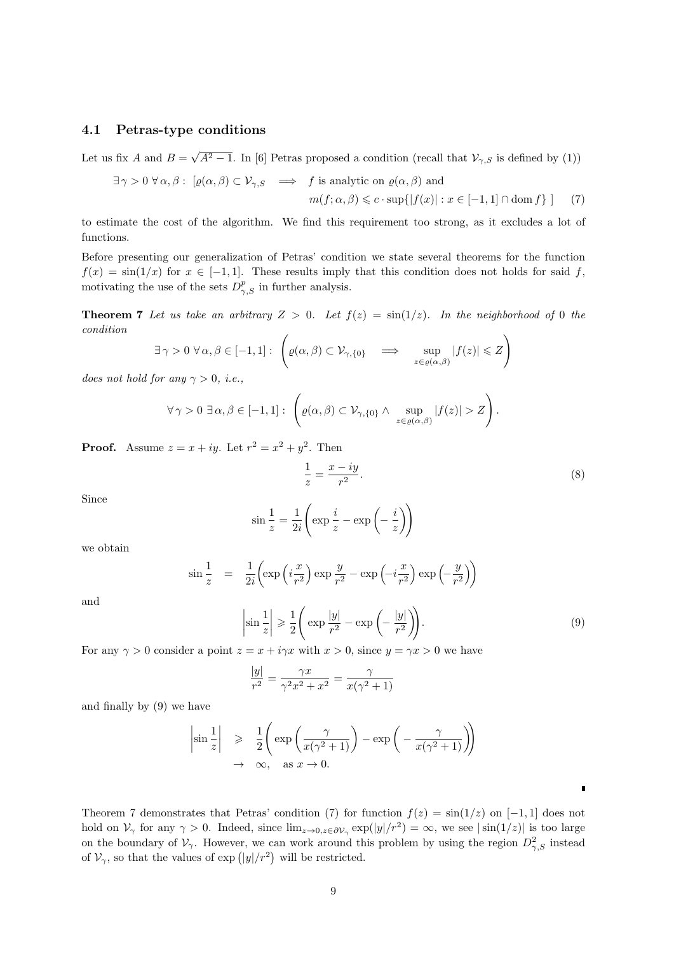#### 4.1 Petras-type conditions

Let us fix  $A$  and  $B =$  $\sqrt{A^2 - 1}$ . In [6] Petras proposed a condition (recall that  $\mathcal{V}_{\gamma, S}$  is defined by (1))

$$
\exists \gamma > 0 \,\forall \alpha, \beta : \, [\varrho(\alpha, \beta) \subset \mathcal{V}_{\gamma, S} \implies f \text{ is analytic on } \varrho(\alpha, \beta) \text{ and}
$$

$$
m(f; \alpha, \beta) \leq c \cdot \sup\{|f(x)| : x \in [-1, 1] \cap \text{dom } f\} \, ] \tag{7}
$$

to estimate the cost of the algorithm. We find this requirement too strong, as it excludes a lot of functions.

Before presenting our generalization of Petras' condition we state several theorems for the function  $f(x) = \sin(1/x)$  for  $x \in [-1, 1]$ . These results imply that this condition does not holds for said f, motivating the use of the sets  $D_{\gamma,S}^p$  in further analysis.

**Theorem 7** Let us take an arbitrary  $Z > 0$ . Let  $f(z) = \sin(1/z)$ . In the neighborhood of 0 the condition

$$
\exists \gamma > 0 \,\forall \alpha, \beta \in [-1,1]: \left( \varrho(\alpha,\beta) \subset \mathcal{V}_{\gamma,\{0\}} \quad \Longrightarrow \quad \sup_{z \in \varrho(\alpha,\beta)} |f(z)| \leq Z \right)
$$

does not hold for any  $\gamma > 0$ , *i.e.*,

$$
\forall \gamma > 0 \; \exists \alpha, \beta \in [-1,1]: \; \left( \varrho(\alpha,\beta) \subset \mathcal{V}_{\gamma,\{0\}} \wedge \sup_{z \in \varrho(\alpha,\beta)} |f(z)| > Z \right).
$$

**Proof.** Assume  $z = x + iy$ . Let  $r^2 = x^2 + y^2$ . Then

$$
\frac{1}{z} = \frac{x - iy}{r^2}.\tag{8}
$$

Since

$$
\sin\frac{1}{z} = \frac{1}{2i} \left( \exp\frac{i}{z} - \exp\left(-\frac{i}{z}\right) \right)
$$

we obtain

$$
\sin\frac{1}{z} = \frac{1}{2i} \left( \exp\left(i\frac{x}{r^2}\right) \exp\frac{y}{r^2} - \exp\left(-i\frac{x}{r^2}\right) \exp\left(-\frac{y}{r^2}\right) \right)
$$

and

$$
\left|\sin\frac{1}{z}\right| \geqslant \frac{1}{2}\left(\exp\frac{|y|}{r^2} - \exp\left(-\frac{|y|}{r^2}\right)\right).
$$
\n(9)

For any  $\gamma > 0$  consider a point  $z = x + i \gamma x$  with  $x > 0$ , since  $y = \gamma x > 0$  we have

$$
\frac{|y|}{r^2} = \frac{\gamma x}{\gamma^2 x^2 + x^2} = \frac{\gamma}{x(\gamma^2 + 1)}
$$

and finally by (9) we have

$$
\begin{vmatrix} \sin\frac{1}{z} \end{vmatrix} \ge \frac{1}{2} \left( \exp\left(\frac{\gamma}{x(\gamma^2 + 1)}\right) - \exp\left(-\frac{\gamma}{x(\gamma^2 + 1)}\right) \right) \to \infty, \text{ as } x \to 0.
$$

Theorem 7 demonstrates that Petras' condition (7) for function  $f(z) = \sin(1/z)$  on [−1, 1] does not hold on  $\mathcal{V}_{\gamma}$  for any  $\gamma > 0$ . Indeed, since  $\lim_{z\to 0, z\in \partial \mathcal{V}_{\gamma}} \exp(|y|/r^2) = \infty$ , we see  $|\sin(1/z)|$  is too large on the boundary of  $\mathcal{V}_{\gamma}$ . However, we can work around this problem by using the region  $D^2_{\gamma,S}$  instead of  $\mathcal{V}_{\gamma}$ , so that the values of  $\exp\left(|y|/r^2\right)$  will be restricted.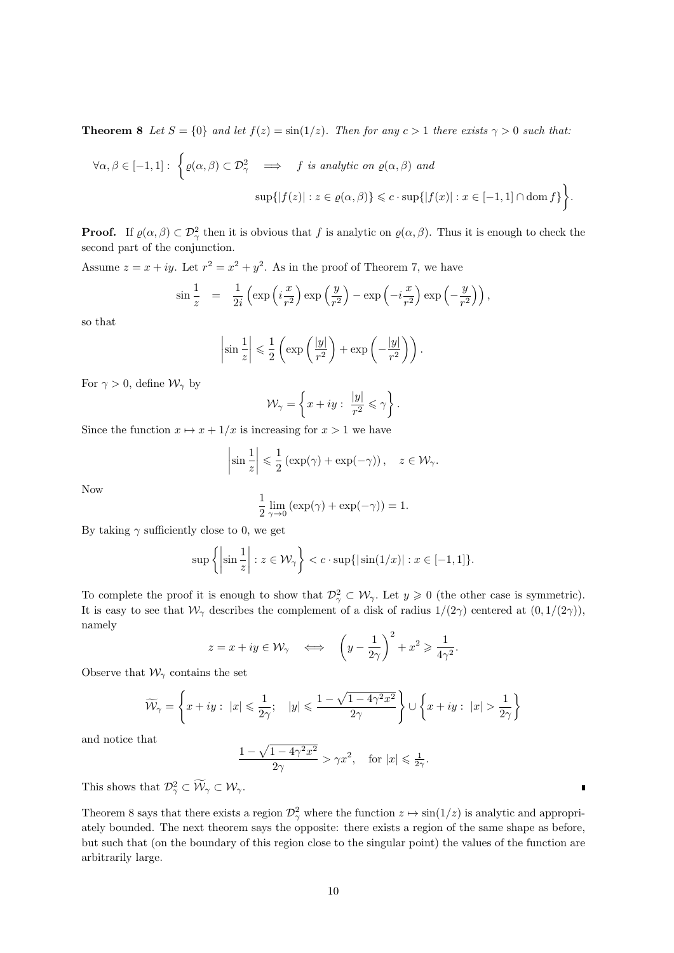**Theorem 8** Let  $S = \{0\}$  and let  $f(z) = \sin(1/z)$ . Then for any  $c > 1$  there exists  $\gamma > 0$  such that:

$$
\forall \alpha, \beta \in [-1, 1]: \left\{ \varrho(\alpha, \beta) \subset \mathcal{D}_{\gamma}^{2} \implies f \text{ is analytic on } \varrho(\alpha, \beta) \text{ and } \sup\{|f(z)| : z \in \varrho(\alpha, \beta)\} \leqslant c \cdot \sup\{|f(x)| : x \in [-1, 1] \cap \text{dom } f\} \right\}.
$$

**Proof.** If  $\varrho(\alpha, \beta) \subset \mathcal{D}^2_\gamma$  then it is obvious that f is analytic on  $\varrho(\alpha, \beta)$ . Thus it is enough to check the second part of the conjunction.

Assume  $z = x + iy$ . Let  $r^2 = x^2 + y^2$ . As in the proof of Theorem 7, we have

$$
\sin\frac{1}{z} = \frac{1}{2i} \left( \exp\left(i\frac{x}{r^2}\right) \exp\left(\frac{y}{r^2}\right) - \exp\left(-i\frac{x}{r^2}\right) \exp\left(-\frac{y}{r^2}\right) \right),\,
$$

so that

$$
\left|\sin\frac{1}{z}\right| \leqslant \frac{1}{2}\left(\exp\left(\frac{|y|}{r^2}\right) + \exp\left(-\frac{|y|}{r^2}\right)\right).
$$

For  $\gamma > 0$ , define  $\mathcal{W}_{\gamma}$  by

$$
\mathcal{W}_{\gamma} = \left\{ x + iy : \frac{|y|}{r^2} \leqslant \gamma \right\}.
$$

Since the function  $x \mapsto x + 1/x$  is increasing for  $x > 1$  we have

$$
\left|\sin\frac{1}{z}\right| \leq \frac{1}{2}\left(\exp(\gamma) + \exp(-\gamma)\right), \quad z \in \mathcal{W}_{\gamma}.
$$

Now

$$
\frac{1}{2}\lim_{\gamma\to 0}\left(\exp(\gamma)+\exp(-\gamma)\right)=1.
$$

By taking  $\gamma$  sufficiently close to 0, we get

$$
\sup\left\{\left|\sin\frac{1}{z}\right|:z\in\mathcal{W}_{\gamma}\right\}
$$

To complete the proof it is enough to show that  $\mathcal{D}^2_\gamma \subset \mathcal{W}_\gamma$ . Let  $y \geqslant 0$  (the other case is symmetric). It is easy to see that  $W_{\gamma}$  describes the complement of a disk of radius  $1/(2\gamma)$  centered at  $(0, 1/(2\gamma))$ , namely

$$
z = x + iy \in W_{\gamma}
$$
  $\iff$   $\left(y - \frac{1}{2\gamma}\right)^2 + x^2 \ge \frac{1}{4\gamma^2}$ 

.

Observe that  $\mathcal{W}_{\gamma}$  contains the set

$$
\widetilde{\mathcal{W}}_{\gamma} = \left\{ x + iy : \ |x| \leqslant \frac{1}{2\gamma}; \quad |y| \leqslant \frac{1 - \sqrt{1 - 4\gamma^2 x^2}}{2\gamma} \right\} \cup \left\{ x + iy : \ |x| > \frac{1}{2\gamma} \right\}
$$

and notice that

$$
\frac{1 - \sqrt{1 - 4\gamma^2 x^2}}{2\gamma} > \gamma x^2, \quad \text{for } |x| \leq \frac{1}{2\gamma}.
$$

This shows that  $\mathcal{D}^2_{\gamma} \subset \mathcal{W}_{\gamma} \subset \mathcal{W}_{\gamma}$ .

Theorem 8 says that there exists a region  $\mathcal{D}^2_\gamma$  where the function  $z \mapsto \sin(1/z)$  is analytic and appropriately bounded. The next theorem says the opposite: there exists a region of the same shape as before, but such that (on the boundary of this region close to the singular point) the values of the function are arbitrarily large.

 $\blacksquare$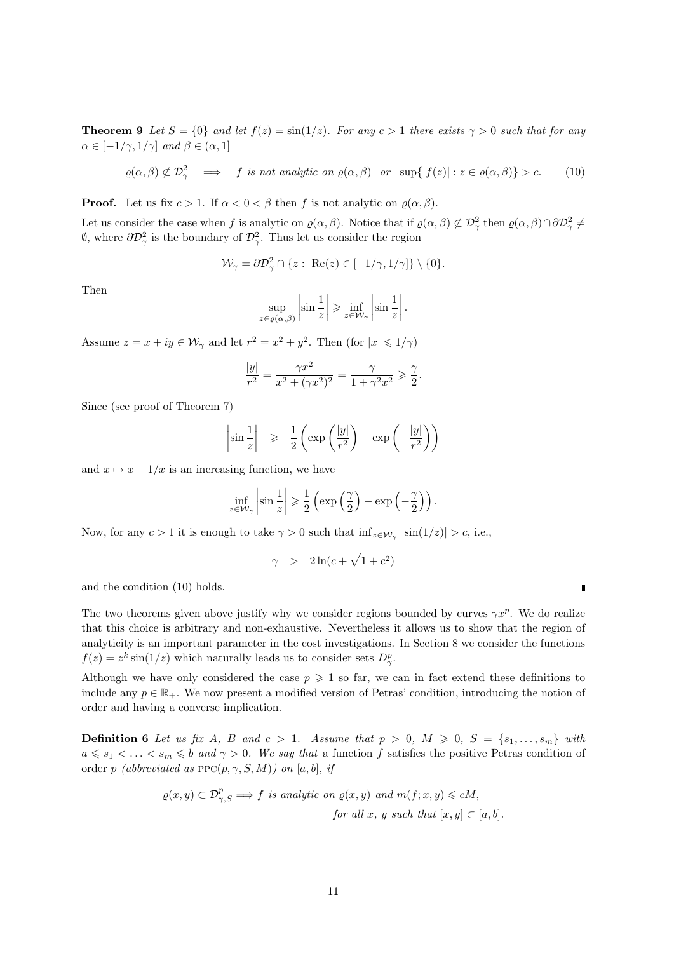**Theorem 9** Let  $S = \{0\}$  and let  $f(z) = \sin(1/z)$ . For any  $c > 1$  there exists  $\gamma > 0$  such that for any  $\alpha \in [-1/\gamma, 1/\gamma]$  and  $\beta \in (\alpha, 1]$ 

$$
\varrho(\alpha,\beta) \not\subset \mathcal{D}^2_{\gamma} \implies f \text{ is not analytic on } \varrho(\alpha,\beta) \text{ or } \sup\{|f(z)| : z \in \varrho(\alpha,\beta)\} > c. \tag{10}
$$

**Proof.** Let us fix  $c > 1$ . If  $\alpha < 0 < \beta$  then f is not analytic on  $\rho(\alpha, \beta)$ .

Let us consider the case when f is analytic on  $\varrho(\alpha,\beta)$ . Notice that if  $\varrho(\alpha,\beta) \not\subset \mathcal{D}^2_\gamma$  then  $\varrho(\alpha,\beta) \cap \partial \mathcal{D}^2_\gamma \neq 0$  $\emptyset$ , where  $\partial \mathcal{D}^2_{\gamma}$  is the boundary of  $\mathcal{D}^2_{\gamma}$ . Thus let us consider the region

$$
\mathcal{W}_{\gamma} = \partial \mathcal{D}_{\gamma}^2 \cap \{ z : \operatorname{Re}(z) \in [-1/\gamma, 1/\gamma] \} \setminus \{0\}.
$$

Then

$$
\sup_{z \in \varrho(\alpha,\beta)} \left| \sin \frac{1}{z} \right| \geqslant \inf_{z \in \mathcal{W}_{\gamma}} \left| \sin \frac{1}{z} \right|.
$$

Assume  $z = x + iy \in \mathcal{W}_{\gamma}$  and let  $r^2 = x^2 + y^2$ . Then  $(\text{for } |x| \leq 1/\gamma)$ 

$$
\frac{|y|}{r^2} = \frac{\gamma x^2}{x^2 + (\gamma x^2)^2} = \frac{\gamma}{1 + \gamma^2 x^2} \geqslant \frac{\gamma}{2}.
$$

Since (see proof of Theorem 7)

$$
\left|\sin\frac{1}{z}\right| \geq \frac{1}{2}\left(\exp\left(\frac{|y|}{r^2}\right) - \exp\left(-\frac{|y|}{r^2}\right)\right)
$$

and  $x \mapsto x - 1/x$  is an increasing function, we have

$$
\inf_{z \in \mathcal{W}_{\gamma}} \left| \sin \frac{1}{z} \right| \geqslant \frac{1}{2} \left( \exp \left( \frac{\gamma}{2} \right) - \exp \left( -\frac{\gamma}{2} \right) \right).
$$

Now, for any  $c > 1$  it is enough to take  $\gamma > 0$  such that  $\inf_{z \in \mathcal{W}_{\gamma}} |\sin(1/z)| > c$ , i.e.,

$$
\gamma > 2\ln(c + \sqrt{1 + c^2})
$$

and the condition (10) holds.

The two theorems given above justify why we consider regions bounded by curves  $\gamma x^p$ . We do realize that this choice is arbitrary and non-exhaustive. Nevertheless it allows us to show that the region of analyticity is an important parameter in the cost investigations. In Section 8 we consider the functions  $f(z) = z^k \sin(1/z)$  which naturally leads us to consider sets  $D_{\gamma}^p$ .

Although we have only considered the case  $p \geq 1$  so far, we can in fact extend these definitions to include any  $p \in \mathbb{R}_+$ . We now present a modified version of Petras' condition, introducing the notion of order and having a converse implication.

**Definition 6** Let us fix A, B and  $c > 1$ . Assume that  $p > 0$ ,  $M \geq 0$ ,  $S = \{s_1, \ldots, s_m\}$  with  $a \leq s_1 < \ldots < s_m \leq b$  and  $\gamma > 0$ . We say that a function f satisfies the positive Petras condition of order p (abbreviated as  $\text{PPC}(p, \gamma, S, M)$ ) on [a, b], if

$$
\varrho(x,y) \subset \mathcal{D}^p_{\gamma,S} \Longrightarrow f \text{ is analytic on } \varrho(x,y) \text{ and } m(f;x,y) \leq cM,
$$
  
for all x, y such that  $[x,y] \subset [a,b].$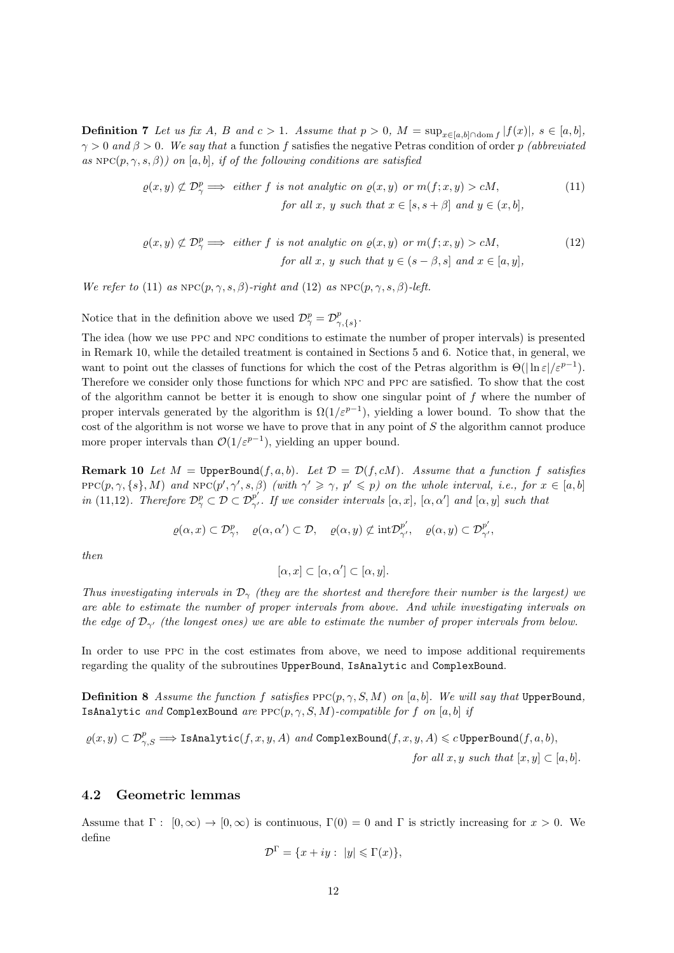**Definition 7** Let us fix A, B and  $c > 1$ . Assume that  $p > 0$ ,  $M = \sup_{x \in [a,b] \cap \text{dom } f} |f(x)|$ ,  $s \in [a,b]$ ,  $\gamma > 0$  and  $\beta > 0$ . We say that a function f satisfies the negative Petras condition of order p (abbreviated) as  $NPC(p, \gamma, s, \beta)$  on [a, b], if of the following conditions are satisfied

$$
\varrho(x,y) \not\subset \mathcal{D}_{\gamma}^{p} \implies either \ f \ \text{is not analytic on} \ \varrho(x,y) \ \text{or} \ m(f;x,y) > cM,
$$
\n
$$
\text{for all } x, \ y \ \text{such that} \ x \in [s,s+\beta] \ \text{and} \ y \in (x,b],
$$
\n
$$
\tag{11}
$$

$$
\varrho(x,y) \not\subset \mathcal{D}_{\gamma}^{p} \Longrightarrow \text{ either } f \text{ is not analytic on } \varrho(x,y) \text{ or } m(f; x, y) > cM,
$$
\n
$$
\text{for all } x, y \text{ such that } y \in (s - \beta, s] \text{ and } x \in [a, y],
$$
\n
$$
\tag{12}
$$

We refer to (11) as  $NPC(p, \gamma, s, \beta)$ -right and (12) as  $NPC(p, \gamma, s, \beta)$ -left.

Notice that in the definition above we used  $\mathcal{D}_{\gamma}^p = \mathcal{D}_{\gamma}^p$  $_{\gamma,\{s\}}^{p}.$ 

The idea (how we use ppc and npc conditions to estimate the number of proper intervals) is presented in Remark 10, while the detailed treatment is contained in Sections 5 and 6. Notice that, in general, we want to point out the classes of functions for which the cost of the Petras algorithm is  $\Theta(|\ln \varepsilon|/\varepsilon^{p-1})$ . Therefore we consider only those functions for which npc and ppc are satisfied. To show that the cost of the algorithm cannot be better it is enough to show one singular point of  $f$  where the number of proper intervals generated by the algorithm is  $\Omega(1/\varepsilon^{p-1})$ , yielding a lower bound. To show that the cost of the algorithm is not worse we have to prove that in any point of  $S$  the algorithm cannot produce more proper intervals than  $\mathcal{O}(1/\varepsilon^{p-1})$ , yielding an upper bound.

**Remark 10** Let  $M = \text{UpperBound}(f, a, b)$ . Let  $\mathcal{D} = \mathcal{D}(f, cM)$ . Assume that a function f satisfies  ${\rm PPC}(p, \gamma, \{s\}, M)$  and  ${\rm NPC}(p', \gamma', s, \beta)$  (with  $\gamma' \geq \gamma$ ,  $p' \leqslant p$ ) on the whole interval, i.e., for  $x \in [a, b]$ in (11,12). Therefore  $\mathcal{D}_{\gamma}^p \subset \mathcal{D} \subset \mathcal{D}_{\gamma'}^{p'}$ . If we consider intervals  $[\alpha, x]$ ,  $[\alpha, \alpha']$  and  $[\alpha, y]$  such that

$$
\varrho(\alpha, x) \subset \mathcal{D}^p_\gamma, \quad \varrho(\alpha, \alpha') \subset \mathcal{D}, \quad \varrho(\alpha, y) \not\subset \mathrm{int} \mathcal{D}^{p'}_{\gamma'}, \quad \varrho(\alpha, y) \subset \mathcal{D}^{p'}_{\gamma'},
$$

then

$$
[\alpha,x]\subset[\alpha,\alpha']\subset[\alpha,y].
$$

Thus investigating intervals in  $\mathcal{D}_{\gamma}$  (they are the shortest and therefore their number is the largest) we are able to estimate the number of proper intervals from above. And while investigating intervals on the edge of  $\mathcal{D}_{\gamma'}$  (the longest ones) we are able to estimate the number of proper intervals from below.

In order to use PPC in the cost estimates from above, we need to impose additional requirements regarding the quality of the subroutines UpperBound, IsAnalytic and ComplexBound.

**Definition 8** Assume the function f satisfies  $\text{PPC}(p, \gamma, S, M)$  on [a, b]. We will say that UpperBound, IsAnalytic and ComplexBound are  $\text{PPC}(p, \gamma, S, M)$ -compatible for f on [a, b] if

$$
\varrho(x,y)\subset\mathcal{D}_{\gamma,S}^p\Longrightarrow \text{IsAnalytic}(f,x,y,A)\ \ \text{and}\ \text{ComplexBound}(f,x,y,A)\leqslant c\ \text{UpperBound}(f,a,b),
$$
 
$$
\text{for all}\ x,y\ \text{such that}\ [x,y]\subset[a,b].
$$

#### 4.2 Geometric lemmas

Assume that  $\Gamma : [0, \infty) \to [0, \infty)$  is continuous,  $\Gamma(0) = 0$  and  $\Gamma$  is strictly increasing for  $x > 0$ . We define

$$
\mathcal{D}^{\Gamma} = \{x + iy : \ |y| \leqslant \Gamma(x)\},\
$$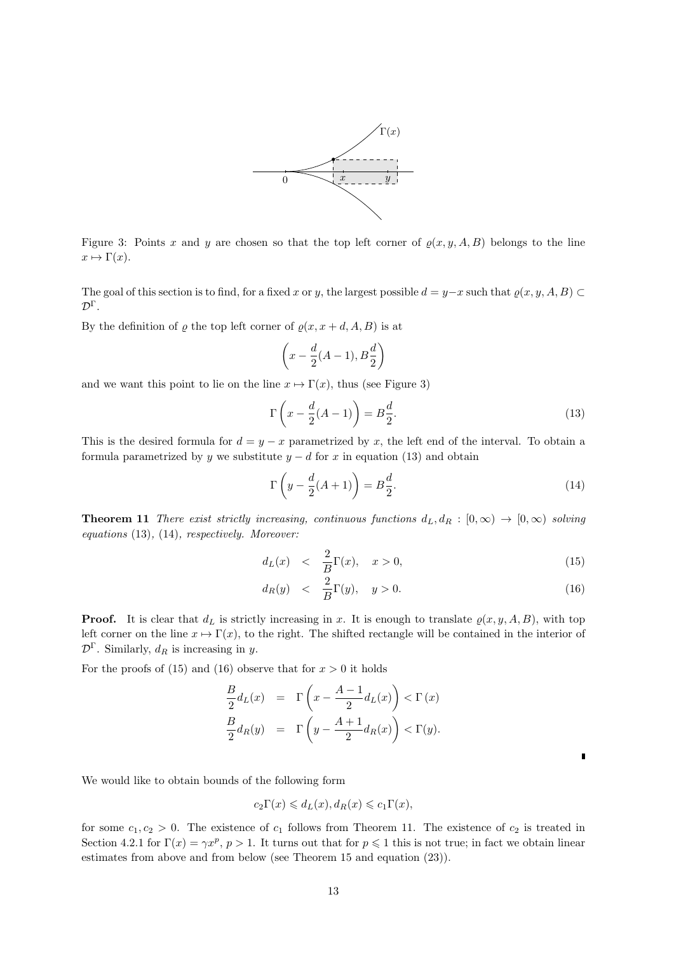

Figure 3: Points x and y are chosen so that the top left corner of  $\rho(x, y, A, B)$  belongs to the line  $x \mapsto \Gamma(x)$ .

The goal of this section is to find, for a fixed x or y, the largest possible  $d = y-x$  such that  $\rho(x, y, A, B) \subset$  $\mathcal{D}^{\Gamma}$ .

By the definition of  $\varrho$  the top left corner of  $\varrho(x, x + d, A, B)$  is at

$$
\left(x-\frac{d}{2}(A-1),B\frac{d}{2}\right)
$$

and we want this point to lie on the line  $x \mapsto \Gamma(x)$ , thus (see Figure 3)

$$
\Gamma\left(x - \frac{d}{2}(A - 1)\right) = B\frac{d}{2}.\tag{13}
$$

This is the desired formula for  $d = y - x$  parametrized by x, the left end of the interval. To obtain a formula parametrized by y we substitute  $y - d$  for x in equation (13) and obtain

$$
\Gamma\left(y - \frac{d}{2}(A+1)\right) = B\frac{d}{2}.\tag{14}
$$

**Theorem 11** There exist strictly increasing, continuous functions  $d_L, d_R : [0, \infty) \to [0, \infty)$  solving equations (13), (14), respectively. Moreover:

$$
d_L(x) \quad < \quad \frac{2}{B} \Gamma(x), \quad x > 0,\tag{15}
$$

$$
d_R(y) \quad < \quad \frac{2}{B} \Gamma(y), \quad y > 0. \tag{16}
$$

**Proof.** It is clear that  $d_L$  is strictly increasing in x. It is enough to translate  $\varrho(x, y, A, B)$ , with top left corner on the line  $x \mapsto \Gamma(x)$ , to the right. The shifted rectangle will be contained in the interior of  $\mathcal{D}^{\Gamma}$ . Similarly,  $d_{R}$  is increasing in y.

For the proofs of (15) and (16) observe that for  $x > 0$  it holds

$$
\frac{B}{2}d_L(x) = \Gamma\left(x - \frac{A-1}{2}d_L(x)\right) < \Gamma(x)
$$
\n
$$
\frac{B}{2}d_R(y) = \Gamma\left(y - \frac{A+1}{2}d_R(x)\right) < \Gamma(y).
$$

 $\blacksquare$ 

We would like to obtain bounds of the following form

$$
c_2\Gamma(x) \leqslant d_L(x), d_R(x) \leqslant c_1\Gamma(x),
$$

for some  $c_1, c_2 > 0$ . The existence of  $c_1$  follows from Theorem 11. The existence of  $c_2$  is treated in Section 4.2.1 for  $\Gamma(x) = \gamma x^p$ ,  $p > 1$ . It turns out that for  $p \leq 1$  this is not true; in fact we obtain linear estimates from above and from below (see Theorem 15 and equation (23)).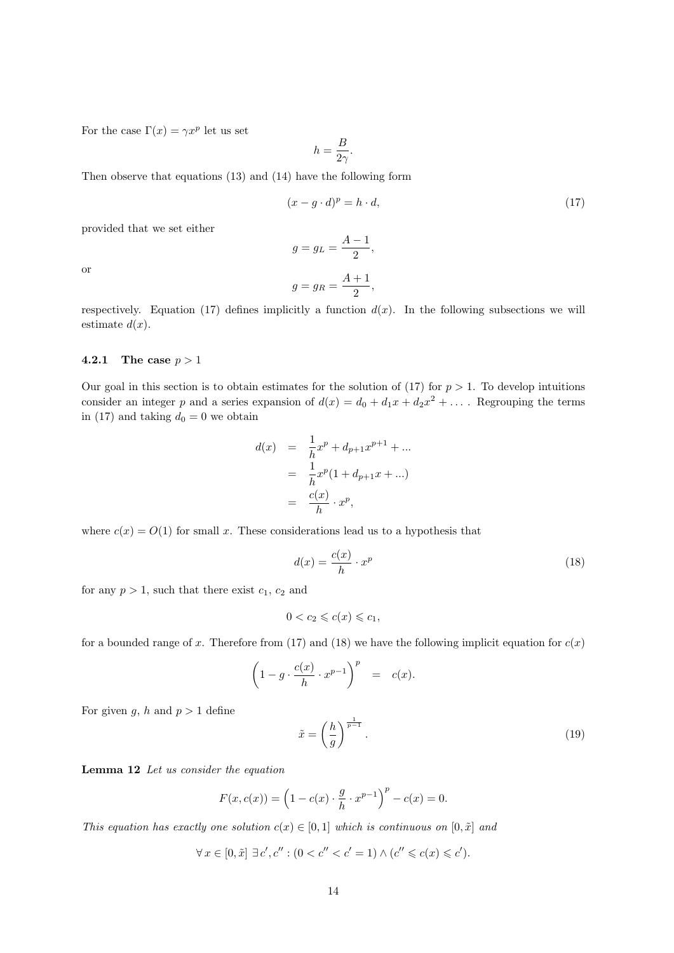For the case  $\Gamma(x) = \gamma x^p$  let us set

$$
h = \frac{B}{2\gamma}.
$$

Then observe that equations (13) and (14) have the following form

$$
(x - g \cdot d)^p = h \cdot d,\tag{17}
$$

provided that we set either

$$
g = g_L = \frac{A-1}{2},
$$
  

$$
g = g_R = \frac{A+1}{2},
$$

or

respectively. Equation (17) defines implicitly a function  $d(x)$ . In the following subsections we will estimate  $d(x)$ .

#### 4.2.1 The case  $p > 1$

Our goal in this section is to obtain estimates for the solution of (17) for  $p > 1$ . To develop intuitions consider an integer p and a series expansion of  $d(x) = d_0 + d_1x + d_2x^2 + \dots$ . Regrouping the terms in (17) and taking  $d_0 = 0$  we obtain

$$
d(x) = \frac{1}{h}x^{p} + d_{p+1}x^{p+1} + \dots
$$
  
= 
$$
\frac{1}{h}x^{p}(1 + d_{p+1}x + \dots)
$$
  
= 
$$
\frac{c(x)}{h} \cdot x^{p},
$$

where  $c(x) = O(1)$  for small x. These considerations lead us to a hypothesis that

$$
d(x) = \frac{c(x)}{h} \cdot x^p \tag{18}
$$

for any  $p > 1$ , such that there exist  $c_1, c_2$  and

$$
0 < c_2 \leqslant c(x) \leqslant c_1,
$$

for a bounded range of x. Therefore from (17) and (18) we have the following implicit equation for  $c(x)$ 

$$
\left(1 - g \cdot \frac{c(x)}{h} \cdot x^{p-1}\right)^p = c(x).
$$

For given g, h and  $p > 1$  define

$$
\tilde{x} = \left(\frac{h}{g}\right)^{\frac{1}{p-1}}.\tag{19}
$$

Lemma 12 Let us consider the equation

$$
F(x, c(x)) = \left(1 - c(x) \cdot \frac{g}{h} \cdot x^{p-1}\right)^p - c(x) = 0.
$$

This equation has exactly one solution  $c(x) \in [0,1]$  which is continuous on  $[0,\tilde{x}]$  and

$$
\forall x \in [0, \tilde{x}] \; \exists c', c'' : (0 < c'' < c' = 1) \land (c'' \leq c(x) \leq c').
$$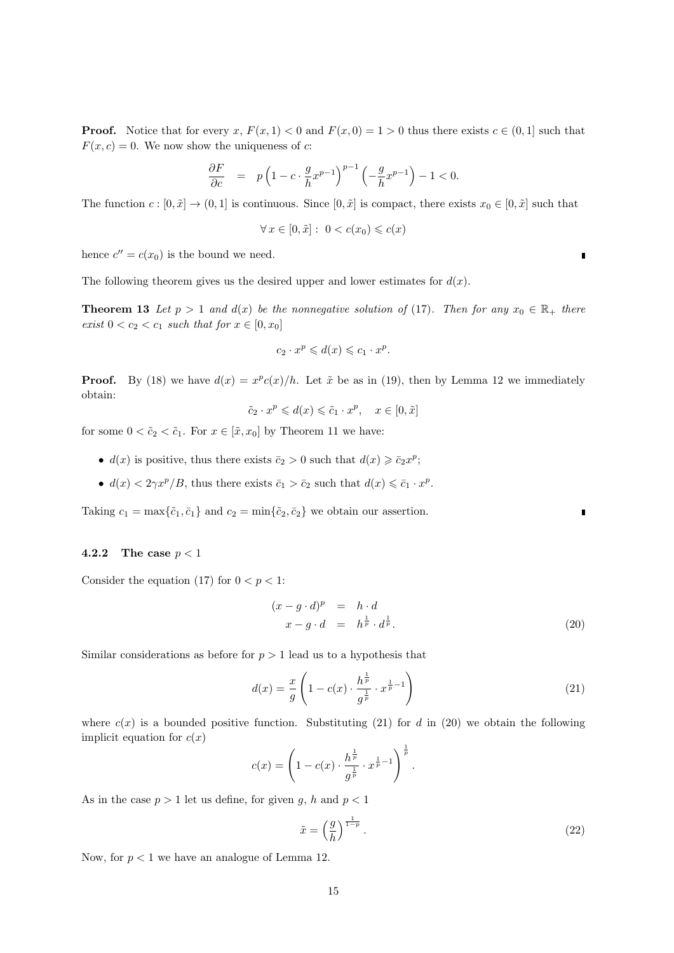**Proof.** Notice that for every x,  $F(x, 1) < 0$  and  $F(x, 0) = 1 > 0$  thus there exists  $c \in (0, 1]$  such that  $F(x, c) = 0$ . We now show the uniqueness of c:

$$
\frac{\partial F}{\partial c} = p \left( 1 - c \cdot \frac{g}{h} x^{p-1} \right)^{p-1} \left( -\frac{g}{h} x^{p-1} \right) - 1 < 0.
$$

The function  $c : [0, \tilde{x}] \to (0, 1]$  is continuous. Since  $[0, \tilde{x}]$  is compact, there exists  $x_0 \in [0, \tilde{x}]$  such that

$$
\forall x \in [0, \tilde{x}]: \ 0 < c(x_0) \leqslant c(x)
$$

hence  $c'' = c(x_0)$  is the bound we need.

The following theorem gives us the desired upper and lower estimates for  $d(x)$ .

**Theorem 13** Let  $p > 1$  and  $d(x)$  be the nonnegative solution of (17). Then for any  $x_0 \in \mathbb{R}_+$  there exist  $0 < c_2 < c_1$  such that for  $x \in [0, x_0]$ 

$$
c_2 \cdot x^p \leqslant d(x) \leqslant c_1 \cdot x^p.
$$

**Proof.** By (18) we have  $d(x) = x^p c(x)/h$ . Let  $\tilde{x}$  be as in (19), then by Lemma 12 we immediately obtain:

 $\tilde{c}_2 \cdot x^p \leq d(x) \leq \tilde{c}_1 \cdot x^p, \quad x \in [0, \tilde{x}]$ 

for some  $0 < \tilde{c}_2 < \tilde{c}_1$ . For  $x \in [\tilde{x}, x_0]$  by Theorem 11 we have:

- $d(x)$  is positive, thus there exists  $\bar{c}_2 > 0$  such that  $d(x) \geq \bar{c}_2 x^p$ ;
- $d(x) < 2\gamma x^p/B$ , thus there exists  $\bar{c}_1 > \bar{c}_2$  such that  $d(x) \leq \bar{c}_1 \cdot x^p$ .

Taking  $c_1 = \max{\{\tilde{c}_1, \bar{c}_1\}}$  and  $c_2 = \min{\{\tilde{c}_2, \bar{c}_2\}}$  we obtain our assertion.

#### 4.2.2 The case  $p < 1$

Consider the equation (17) for  $0 < p < 1$ :

$$
(x - g \cdot d)^p = h \cdot d
$$
  
\n
$$
x - g \cdot d = h^{\frac{1}{p}} \cdot d^{\frac{1}{p}}.
$$
\n(20)

Similar considerations as before for  $p > 1$  lead us to a hypothesis that

$$
d(x) = \frac{x}{g} \left( 1 - c(x) \cdot \frac{h^{\frac{1}{p}}}{g^{\frac{1}{p}}} \cdot x^{\frac{1}{p} - 1} \right)
$$
 (21)

where  $c(x)$  is a bounded positive function. Substituting (21) for d in (20) we obtain the following implicit equation for  $c(x)$ 

$$
c(x) = \left(1 - c(x) \cdot \frac{h^{\frac{1}{p}}}{g^{\frac{1}{p}}} \cdot x^{\frac{1}{p}-1}\right)^{\frac{1}{p}}.
$$

As in the case  $p > 1$  let us define, for given q, h and  $p < 1$ 

$$
\tilde{x} = \left(\frac{g}{h}\right)^{\frac{1}{1-p}}.\tag{22}
$$

Now, for  $p < 1$  we have an analogue of Lemma 12.

 $\blacksquare$ 

 $\blacksquare$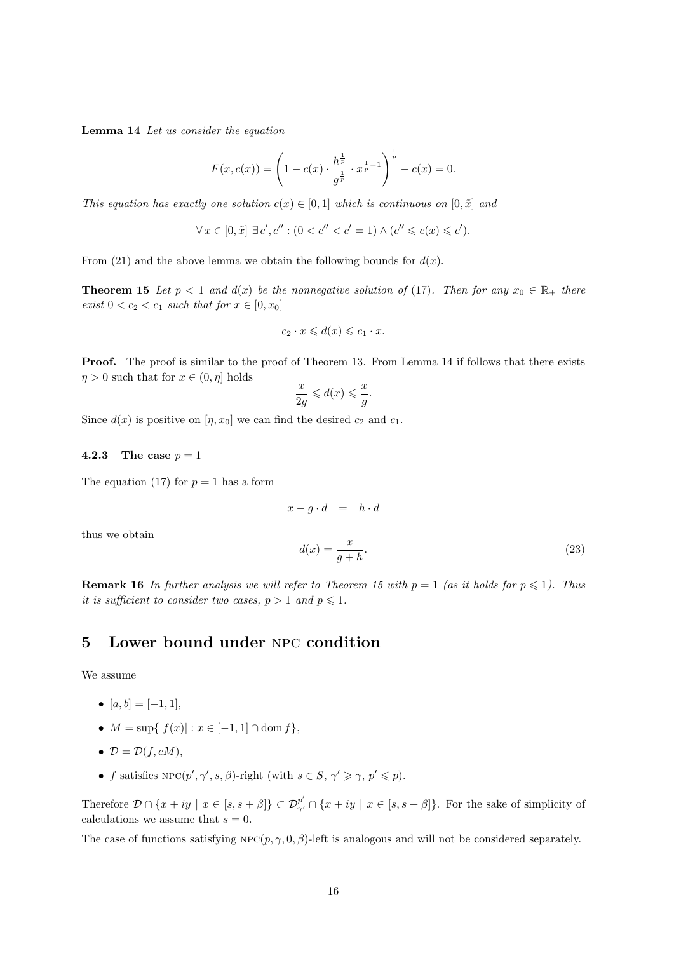Lemma 14 Let us consider the equation

$$
F(x, c(x)) = \left(1 - c(x) \cdot \frac{h^{\frac{1}{p}}}{g^{\frac{1}{p}}} \cdot x^{\frac{1}{p}-1}\right)^{\frac{1}{p}} - c(x) = 0.
$$

This equation has exactly one solution  $c(x) \in [0,1]$  which is continuous on  $[0,\tilde{x}]$  and

$$
\forall \, x \in [0,\tilde{x}] \,\, \exists \, c', c'': (0 < c'' < c' = 1) \land (c'' \leqslant c(x) \leqslant c').
$$

From (21) and the above lemma we obtain the following bounds for  $d(x)$ .

**Theorem 15** Let  $p < 1$  and  $d(x)$  be the nonnegative solution of (17). Then for any  $x_0 \in \mathbb{R}_+$  there exist  $0 < c_2 < c_1$  such that for  $x \in [0, x_0]$ 

$$
c_2 \cdot x \leqslant d(x) \leqslant c_1 \cdot x.
$$

Proof. The proof is similar to the proof of Theorem 13. From Lemma 14 if follows that there exists  $\eta > 0$  such that for  $x \in (0, \eta]$  holds

$$
\frac{x}{2g} \leqslant d(x) \leqslant \frac{x}{g}.
$$

Since  $d(x)$  is positive on  $[\eta, x_0]$  we can find the desired  $c_2$  and  $c_1$ .

#### 4.2.3 The case  $p = 1$

The equation (17) for  $p = 1$  has a form

$$
x - g \cdot d = h \cdot d
$$

$$
d(x) = \frac{x}{g + h}.
$$
(23)

**Remark 16** In further analysis we will refer to Theorem 15 with  $p = 1$  (as it holds for  $p \le 1$ ). Thus it is sufficient to consider two cases,  $p > 1$  and  $p \leq 1$ .

## 5 Lower bound under npc condition

We assume

thus we obtain

- $[a, b] = [-1, 1],$
- $M = \sup\{|f(x)| : x \in [-1, 1] \cap \text{dom } f\},\$
- $\mathcal{D} = \mathcal{D}(f, cM),$
- f satisfies  $NPC(p', \gamma', s, \beta)$ -right (with  $s \in S, \gamma' \geq \gamma, p' \leq p$ ).

Therefore  $\mathcal{D} \cap \{x+iy \mid x \in [s,s+\beta]\} \subset \mathcal{D}_{\gamma}^{p'} \cap \{x+iy \mid x \in [s,s+\beta]\}.$  For the sake of simplicity of calculations we assume that  $s = 0$ .

The case of functions satisfying  $NPC(p, \gamma, 0, \beta)$ -left is analogous and will not be considered separately.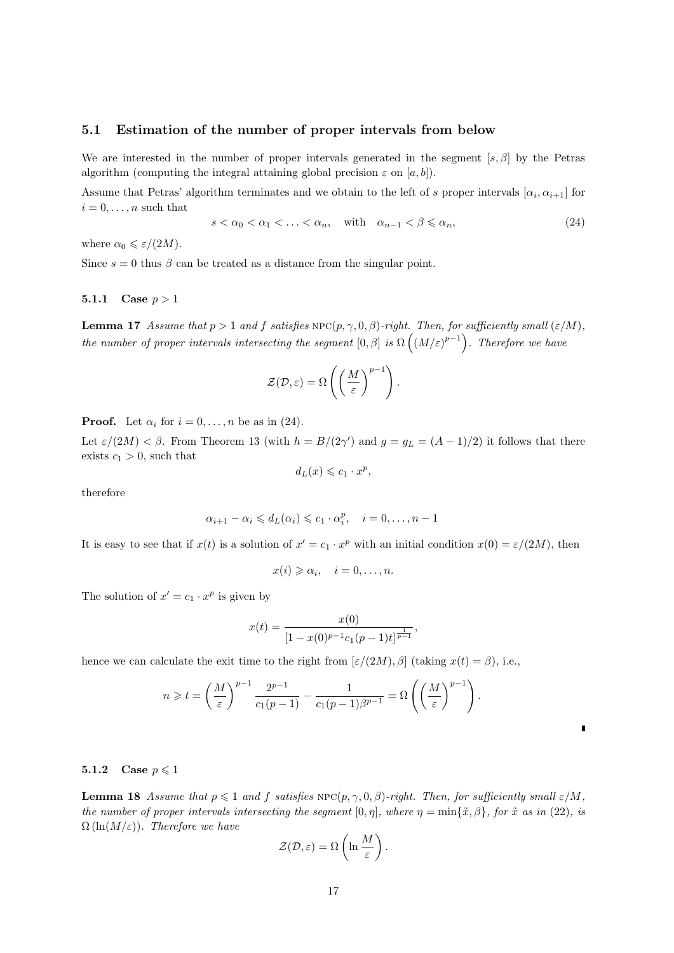#### 5.1 Estimation of the number of proper intervals from below

We are interested in the number of proper intervals generated in the segment  $[s, \beta]$  by the Petras algorithm (computing the integral attaining global precision  $\varepsilon$  on  $[a, b]$ ).

Assume that Petras' algorithm terminates and we obtain to the left of s proper intervals  $[\alpha_i, \alpha_{i+1}]$  for  $i = 0, \ldots, n$  such that

$$
s < \alpha_0 < \alpha_1 < \ldots < \alpha_n, \quad \text{with} \quad \alpha_{n-1} < \beta \leq \alpha_n,
$$
\n
$$
(24)
$$

where  $\alpha_0 \leqslant \varepsilon/(2M)$ .

Since  $s = 0$  thus  $\beta$  can be treated as a distance from the singular point.

#### 5.1.1 Case  $p > 1$

**Lemma 17** Assume that  $p > 1$  and f satisfies  $NPC(p, \gamma, 0, \beta)$ -right. Then, for sufficiently small  $(\varepsilon/M)$ , the number of proper intervals intersecting the segment  $[0,\beta]$  is  $\Omega((M/\varepsilon)^{p-1})$ . Therefore we have

$$
\mathcal{Z}(\mathcal{D}, \varepsilon) = \Omega\left(\left(\frac{M}{\varepsilon}\right)^{p-1}\right).
$$

**Proof.** Let  $\alpha_i$  for  $i = 0, \ldots, n$  be as in (24).

Let  $\varepsilon/(2M) < \beta$ . From Theorem 13 (with  $h = B/(2\gamma')$  and  $g = g_L = (A-1)/2$ ) it follows that there exists  $c_1 > 0$ , such that

$$
d_L(x) \leqslant c_1 \cdot x^p,
$$

therefore

$$
\alpha_{i+1} - \alpha_i \leq d_L(\alpha_i) \leq c_1 \cdot \alpha_i^p, \quad i = 0, \dots, n-1
$$

It is easy to see that if  $x(t)$  is a solution of  $x' = c_1 \cdot x^p$  with an initial condition  $x(0) = \varepsilon/(2M)$ , then

$$
x(i) \geqslant \alpha_i, \quad i = 0, \dots, n.
$$

The solution of  $x' = c_1 \cdot x^p$  is given by

$$
x(t) = \frac{x(0)}{[1 - x(0)^{p-1}c_1(p-1)t]^{\frac{1}{p-1}}},
$$

hence we can calculate the exit time to the right from  $[\varepsilon/(2M), \beta]$  (taking  $x(t) = \beta$ ), i.e.,

$$
n \geqslant t = \left(\frac{M}{\varepsilon}\right)^{p-1} \frac{2^{p-1}}{c_1(p-1)} - \frac{1}{c_1(p-1)\beta^{p-1}} = \Omega\left(\left(\frac{M}{\varepsilon}\right)^{p-1}\right).
$$

 $\blacksquare$ 

#### 5.1.2 Case  $p \leq 1$

**Lemma 18** Assume that  $p \leq 1$  and f satisfies  $NPC(p, \gamma, 0, \beta)$ -right. Then, for sufficiently small  $\varepsilon/M$ , the number of proper intervals intersecting the segment  $[0, \eta]$ , where  $\eta = \min\{\tilde{x}, \beta\}$ , for  $\tilde{x}$  as in (22), is  $\Omega(\ln(M/\varepsilon))$ . Therefore we have

$$
\mathcal{Z}(\mathcal{D}, \varepsilon) = \Omega\left(\ln \frac{M}{\varepsilon}\right).
$$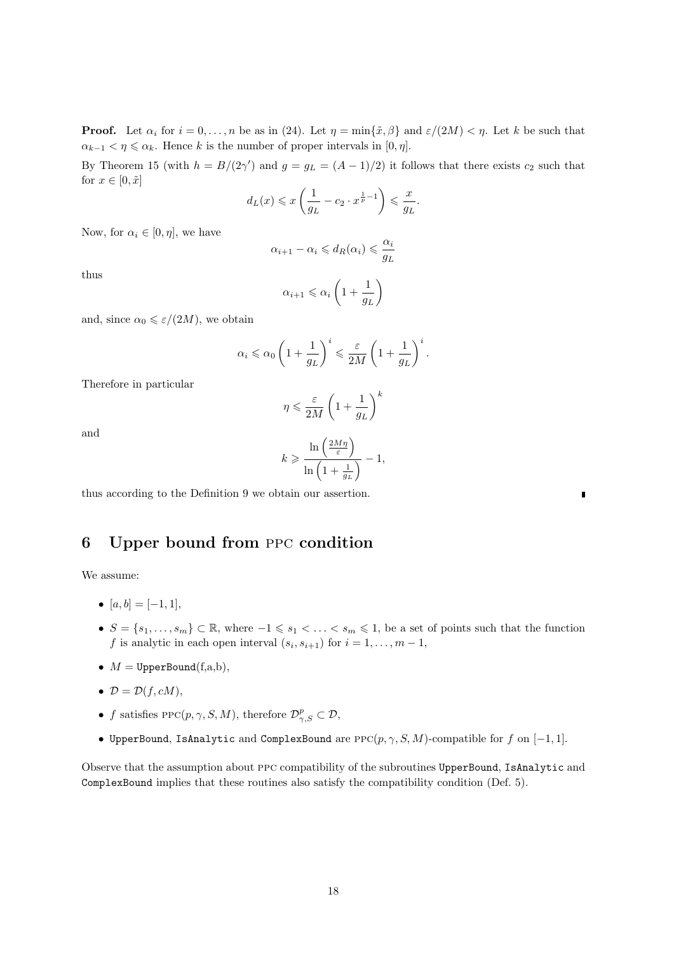**Proof.** Let  $\alpha_i$  for  $i = 0, \ldots, n$  be as in (24). Let  $\eta = \min{\{\tilde{x}, \beta\}}$  and  $\varepsilon/(2M) < \eta$ . Let k be such that  $\alpha_{k-1} < \eta \leq \alpha_k$ . Hence k is the number of proper intervals in [0,  $\eta$ ].

By Theorem 15 (with  $h = B/(2\gamma')$  and  $g = g_L = (A-1)/2$ ) it follows that there exists  $c_2$  such that for  $x \in [0, \tilde{x}]$ 

$$
d_L(x) \leqslant x \left( \frac{1}{g_L} - c_2 \cdot x^{\frac{1}{p}-1} \right) \leqslant \frac{x}{g_L}.
$$

Now, for  $\alpha_i \in [0, \eta]$ , we have

$$
\alpha_{i+1} - \alpha_i \leq d_R(\alpha_i) \leq \frac{\alpha_i}{g_L}
$$

thus

$$
\alpha_{i+1} \leqslant \alpha_i \left(1 + \frac{1}{g_L}\right)
$$

and, since  $\alpha_0 \leq \varepsilon/(2M)$ , we obtain

$$
\alpha_i \leqslant \alpha_0 \left( 1 + \frac{1}{g_L} \right)^i \leqslant \frac{\varepsilon}{2M} \left( 1 + \frac{1}{g_L} \right)^i.
$$

Therefore in particular

$$
\eta \leqslant \frac{\varepsilon}{2M} \left( 1 + \frac{1}{g_L} \right)^k
$$

and

$$
k \geqslant \frac{\ln\left(\frac{2M\eta}{\varepsilon}\right)}{\ln\left(1 + \frac{1}{g_L}\right)} - 1,
$$

 $\blacksquare$ 

thus according to the Definition 9 we obtain our assertion.

## 6 Upper bound from ppc condition

We assume:

- $[a, b] = [-1, 1],$
- $S = \{s_1, \ldots, s_m\} \subset \mathbb{R}$ , where  $-1 \leq s_1 < \ldots < s_m \leq 1$ , be a set of points such that the function f is analytic in each open interval  $(s_i, s_{i+1})$  for  $i = 1, ..., m - 1$ ,
- $M = \text{UpperBound}(f, a, b),$
- $\mathcal{D} = \mathcal{D}(f, cM),$
- f satisfies PPC $(p, \gamma, S, M)$ , therefore  $\mathcal{D}^p_{\gamma, S} \subset \mathcal{D}$ ,
- UpperBound, IsAnalytic and ComplexBound are  $\text{PPC}(p, \gamma, S, M)$ -compatible for f on  $[-1, 1]$ .

Observe that the assumption about ppc compatibility of the subroutines UpperBound, IsAnalytic and ComplexBound implies that these routines also satisfy the compatibility condition (Def. 5).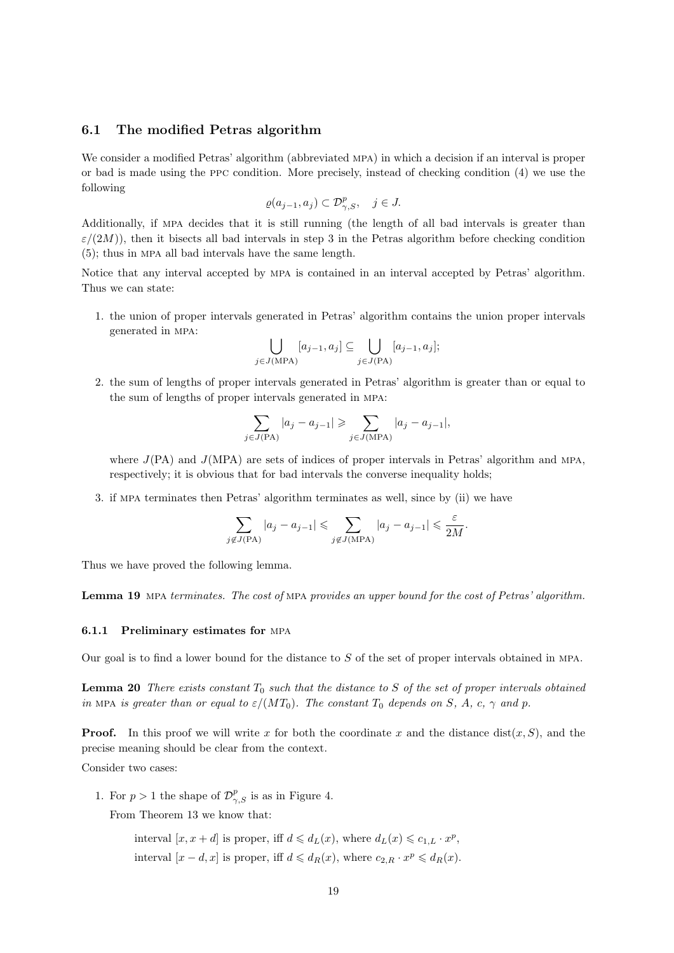#### 6.1 The modified Petras algorithm

We consider a modified Petras' algorithm (abbreviated MPA) in which a decision if an interval is proper or bad is made using the ppc condition. More precisely, instead of checking condition (4) we use the following

$$
\varrho(a_{j-1}, a_j) \subset \mathcal{D}^p_{\gamma, S}, \quad j \in J.
$$

Additionally, if mpa decides that it is still running (the length of all bad intervals is greater than  $\varepsilon/(2M)$ , then it bisects all bad intervals in step 3 in the Petras algorithm before checking condition (5); thus in mpa all bad intervals have the same length.

Notice that any interval accepted by mpa is contained in an interval accepted by Petras' algorithm. Thus we can state:

1. the union of proper intervals generated in Petras' algorithm contains the union proper intervals generated in mpa:

$$
\bigcup_{j \in J(\text{MPA})} [a_{j-1}, a_j] \subseteq \bigcup_{j \in J(\text{PA})} [a_{j-1}, a_j];
$$

2. the sum of lengths of proper intervals generated in Petras' algorithm is greater than or equal to the sum of lengths of proper intervals generated in mpa:

$$
\sum_{j \in J(\text{PA})} |a_j - a_{j-1}| \ge \sum_{j \in J(\text{MPA})} |a_j - a_{j-1}|,
$$

where  $J(PA)$  and  $J(MPA)$  are sets of indices of proper intervals in Petras' algorithm and MPA, respectively; it is obvious that for bad intervals the converse inequality holds;

3. if mpa terminates then Petras' algorithm terminates as well, since by (ii) we have

$$
\sum_{j \notin J(\text{PA})} |a_j - a_{j-1}| \leqslant \sum_{j \notin J(\text{MPA})} |a_j - a_{j-1}| \leqslant \frac{\varepsilon}{2M}.
$$

Thus we have proved the following lemma.

Lemma 19 MPA terminates. The cost of MPA provides an upper bound for the cost of Petras' algorithm.

#### 6.1.1 Preliminary estimates for mpa

Our goal is to find a lower bound for the distance to S of the set of proper intervals obtained in mpa.

**Lemma 20** There exists constant  $T_0$  such that the distance to S of the set of proper intervals obtained in MPA is greater than or equal to  $\varepsilon/(MT_0)$ . The constant  $T_0$  depends on S, A, c,  $\gamma$  and p.

**Proof.** In this proof we will write x for both the coordinate x and the distance dist $(x, S)$ , and the precise meaning should be clear from the context.

Consider two cases:

1. For  $p > 1$  the shape of  $\mathcal{D}_{\gamma,S}^p$  is as in Figure 4.

From Theorem 13 we know that:

interval  $[x, x+d]$  is proper, iff  $d \leq d_L(x)$ , where  $d_L(x) \leq c_{1,L} \cdot x^p$ , interval  $[x - d, x]$  is proper, iff  $d \leq d_R(x)$ , where  $c_{2,R} \cdot x^p \leq d_R(x)$ .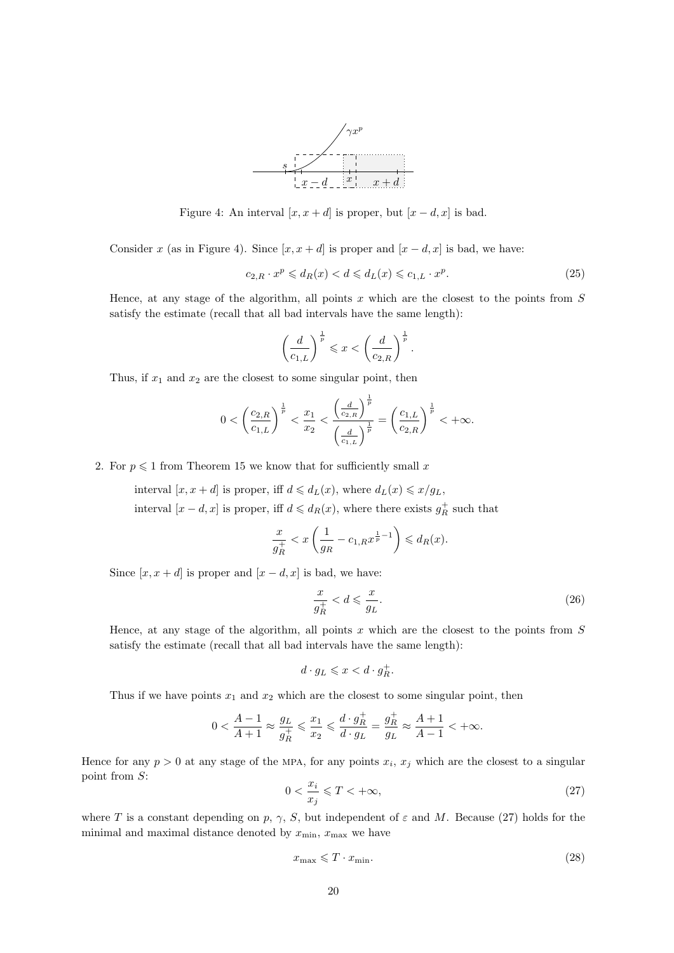

Figure 4: An interval  $[x, x + d]$  is proper, but  $[x - d, x]$  is bad.

Consider x (as in Figure 4). Since  $[x, x+d]$  is proper and  $[x-d, x]$  is bad, we have:

$$
c_{2,R} \cdot x^p \leqslant d_R(x) < d \leqslant d_L(x) \leqslant c_{1,L} \cdot x^p. \tag{25}
$$

Hence, at any stage of the algorithm, all points  $x$  which are the closest to the points from  $S$ satisfy the estimate (recall that all bad intervals have the same length):

$$
\left(\frac{d}{c_{1,L}}\right)^{\frac{1}{p}} \leqslant x < \left(\frac{d}{c_{2,R}}\right)^{\frac{1}{p}}.
$$

Thus, if  $x_1$  and  $x_2$  are the closest to some singular point, then

$$
0 < \left(\frac{c_{2,R}}{c_{1,L}}\right)^{\frac{1}{p}} < \frac{x_1}{x_2} < \frac{\left(\frac{d}{c_{2,R}}\right)^{\frac{1}{p}}}{\left(\frac{d}{c_{1,L}}\right)^{\frac{1}{p}}} = \left(\frac{c_{1,L}}{c_{2,R}}\right)^{\frac{1}{p}} < +\infty.
$$

2. For  $p \leq 1$  from Theorem 15 we know that for sufficiently small x

interval  $[x, x + d]$  is proper, iff  $d \le d_L(x)$ , where  $d_L(x) \le x/q_L$ ,

interval  $[x - d, x]$  is proper, iff  $d \leq d_R(x)$ , where there exists  $g_R^+$  such that

$$
\frac{x}{g_R^+} < x \left( \frac{1}{g_R} - c_{1,R} x^{\frac{1}{p}-1} \right) \leqslant d_R(x).
$$

Since  $[x, x + d]$  is proper and  $[x - d, x]$  is bad, we have:

$$
\frac{x}{g_R^+} < d \leqslant \frac{x}{g_L}.\tag{26}
$$

Hence, at any stage of the algorithm, all points  $x$  which are the closest to the points from  $S$ satisfy the estimate (recall that all bad intervals have the same length):

$$
d \cdot g_L \leqslant x < d \cdot g_R^+.
$$

Thus if we have points  $x_1$  and  $x_2$  which are the closest to some singular point, then

$$
0 < \frac{A-1}{A+1} \approx \frac{g_L}{g_R^+} \leqslant \frac{x_1}{x_2} \leqslant \frac{d \cdot g_R^+}{d \cdot g_L} = \frac{g_R^+}{g_L} \approx \frac{A+1}{A-1} < +\infty.
$$

Hence for any  $p > 0$  at any stage of the MPA, for any points  $x_i, x_j$  which are the closest to a singular point from S:

$$
0 < \frac{x_i}{x_j} \leqslant T < +\infty,\tag{27}
$$

where T is a constant depending on p,  $\gamma$ , S, but independent of  $\varepsilon$  and M. Because (27) holds for the minimal and maximal distance denoted by  $x_{\min}$ ,  $x_{\max}$  we have

$$
x_{\max} \leqslant T \cdot x_{\min}.\tag{28}
$$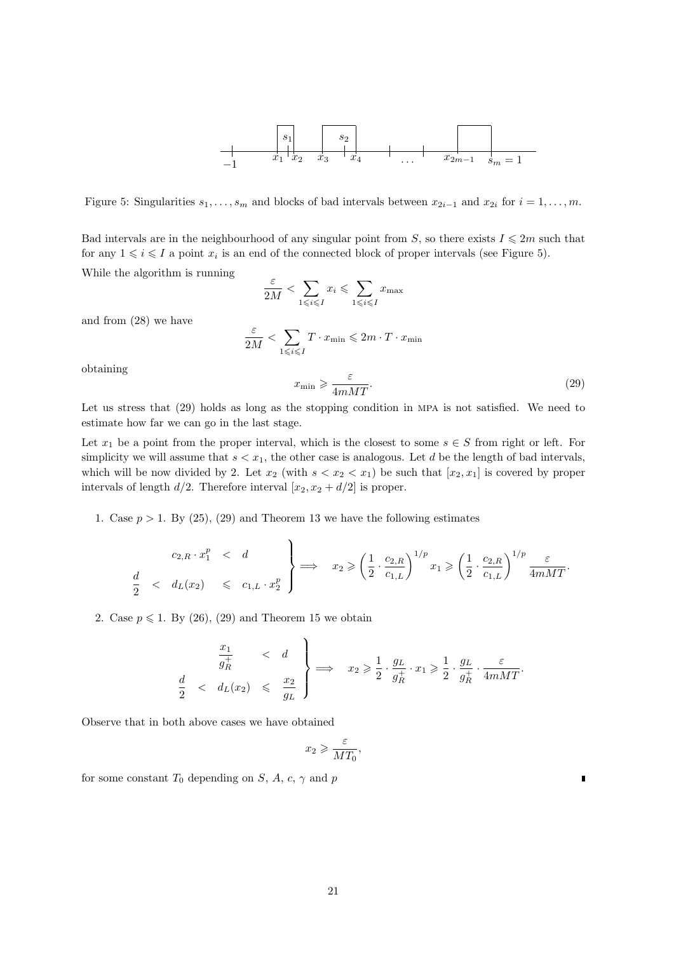

Figure 5: Singularities  $s_1, \ldots, s_m$  and blocks of bad intervals between  $x_{2i-1}$  and  $x_{2i}$  for  $i = 1, \ldots, m$ .

Bad intervals are in the neighbourhood of any singular point from S, so there exists  $I \leq 2m$  such that for any  $1 \leq i \leq I$  a point  $x_i$  is an end of the connected block of proper intervals (see Figure 5). While the algorithm is running

$$
\frac{\varepsilon}{2M}<\sum_{1\leqslant i\leqslant I}x_i\leqslant \sum_{1\leqslant i\leqslant I}x_{\max}
$$

and from (28) we have

$$
\frac{\varepsilon}{2M} < \sum_{1 \leq i \leq I} T \cdot x_{\min} \leq 2m \cdot T \cdot x_{\min}
$$

obtaining

$$
x_{\min} \geqslant \frac{\varepsilon}{4mMT}.\tag{29}
$$

 $\blacksquare$ 

Let us stress that  $(29)$  holds as long as the stopping condition in MPA is not satisfied. We need to estimate how far we can go in the last stage.

Let  $x_1$  be a point from the proper interval, which is the closest to some  $s \in S$  from right or left. For simplicity we will assume that  $s < x_1$ , the other case is analogous. Let d be the length of bad intervals, which will be now divided by 2. Let  $x_2$  (with  $s < x_2 < x_1$ ) be such that  $[x_2, x_1]$  is covered by proper intervals of length  $d/2$ . Therefore interval  $[x_2, x_2 + d/2]$  is proper.

1. Case  $p > 1$ . By (25), (29) and Theorem 13 we have the following estimates

$$
\left.\begin{array}{rcl}\nc_{2,R}\cdot x_{1}^{p} < & d \\
\frac{d}{2} < & d_{L}(x_{2}) < & c_{1,L}\cdot x_{2}^{p}\n\end{array}\right\}\Longrightarrow\quad x_{2}\geqslant\left(\frac{1}{2}\cdot\frac{c_{2,R}}{c_{1,L}}\right)^{1/p}x_{1}\geqslant\left(\frac{1}{2}\cdot\frac{c_{2,R}}{c_{1,L}}\right)^{1/p}\frac{\varepsilon}{4mMT}.
$$

2. Case  $p \leq 1$ . By (26), (29) and Theorem 15 we obtain

$$
\begin{array}{c}\n\frac{x_1}{g_R^+} < d \\
\frac{d}{2} < d_L(x_2) \leqslant \frac{x_2}{g_L}\n\end{array}\n\right\} \Longrightarrow\n\begin{array}{c}\nx_2 \geqslant \frac{1}{2} \cdot \frac{g_L}{g_R^+} \cdot x_1 \geqslant \frac{1}{2} \cdot \frac{g_L}{g_R^+} \cdot \frac{\varepsilon}{4mMT}.\n\end{array}
$$

Observe that in both above cases we have obtained

$$
x_2 \geqslant \frac{\varepsilon}{MT_0},
$$

for some constant  $T_0$  depending on S, A, c,  $\gamma$  and p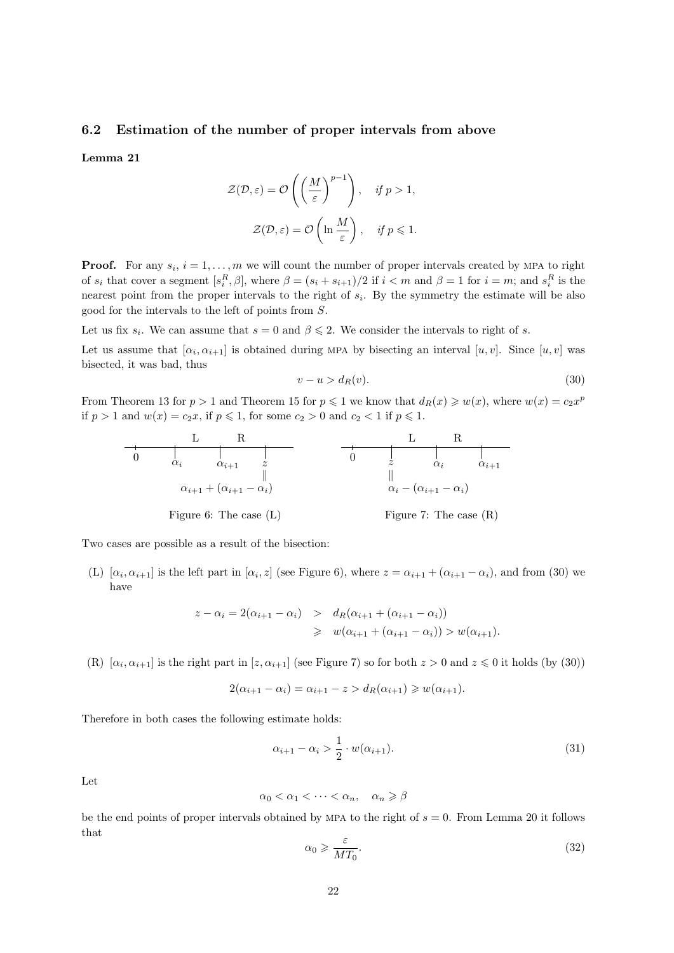#### 6.2 Estimation of the number of proper intervals from above

Lemma 21

$$
\mathcal{Z}(\mathcal{D}, \varepsilon) = \mathcal{O}\left(\left(\frac{M}{\varepsilon}\right)^{p-1}\right), \quad \text{if } p > 1,
$$
  

$$
\mathcal{Z}(\mathcal{D}, \varepsilon) = \mathcal{O}\left(\ln \frac{M}{\varepsilon}\right), \quad \text{if } p \leq 1.
$$

**Proof.** For any  $s_i$ ,  $i = 1, ..., m$  we will count the number of proper intervals created by MPA to right of  $s_i$  that cover a segment  $[s_i^R, \beta]$ , where  $\beta = (s_i + s_{i+1})/2$  if  $i < m$  and  $\beta = 1$  for  $i = m$ ; and  $s_i^R$  is the nearest point from the proper intervals to the right of  $s_i$ . By the symmetry the estimate will be also good for the intervals to the left of points from S.

Let us fix  $s_i$ . We can assume that  $s = 0$  and  $\beta \leq 2$ . We consider the intervals to right of s.

Let us assume that  $[\alpha_i, \alpha_{i+1}]$  is obtained during MPA by bisecting an interval  $[u, v]$ . Since  $[u, v]$  was bisected, it was bad, thus

$$
v - u > d_R(v). \tag{30}
$$

From Theorem 13 for  $p > 1$  and Theorem 15 for  $p \leq 1$  we know that  $d_R(x) \geq w(x)$ , where  $w(x) = c_2 x^p$ if  $p > 1$  and  $w(x) = c_2x$ , if  $p \leq 1$ , for some  $c_2 > 0$  and  $c_2 < 1$  if  $p \leq 1$ .



Two cases are possible as a result of the bisection:

(L)  $[\alpha_i, \alpha_{i+1}]$  is the left part in  $[\alpha_i, z]$  (see Figure 6), where  $z = \alpha_{i+1} + (\alpha_{i+1} - \alpha_i)$ , and from (30) we have

$$
z - \alpha_i = 2(\alpha_{i+1} - \alpha_i) > d_R(\alpha_{i+1} + (\alpha_{i+1} - \alpha_i))
$$
  
 
$$
\geq w(\alpha_{i+1} + (\alpha_{i+1} - \alpha_i)) > w(\alpha_{i+1}).
$$

(R)  $[\alpha_i, \alpha_{i+1}]$  is the right part in  $[z, \alpha_{i+1}]$  (see Figure 7) so for both  $z > 0$  and  $z \le 0$  it holds (by (30))

$$
2(\alpha_{i+1} - \alpha_i) = \alpha_{i+1} - z > d_R(\alpha_{i+1}) \ge w(\alpha_{i+1}).
$$

Therefore in both cases the following estimate holds:

$$
\alpha_{i+1} - \alpha_i > \frac{1}{2} \cdot w(\alpha_{i+1}). \tag{31}
$$

Let

$$
\alpha_0 < \alpha_1 < \dots < \alpha_n, \quad \alpha_n \geqslant \beta
$$

be the end points of proper intervals obtained by MPA to the right of  $s = 0$ . From Lemma 20 it follows that

$$
\alpha_0 \geqslant \frac{\varepsilon}{MT_0}.\tag{32}
$$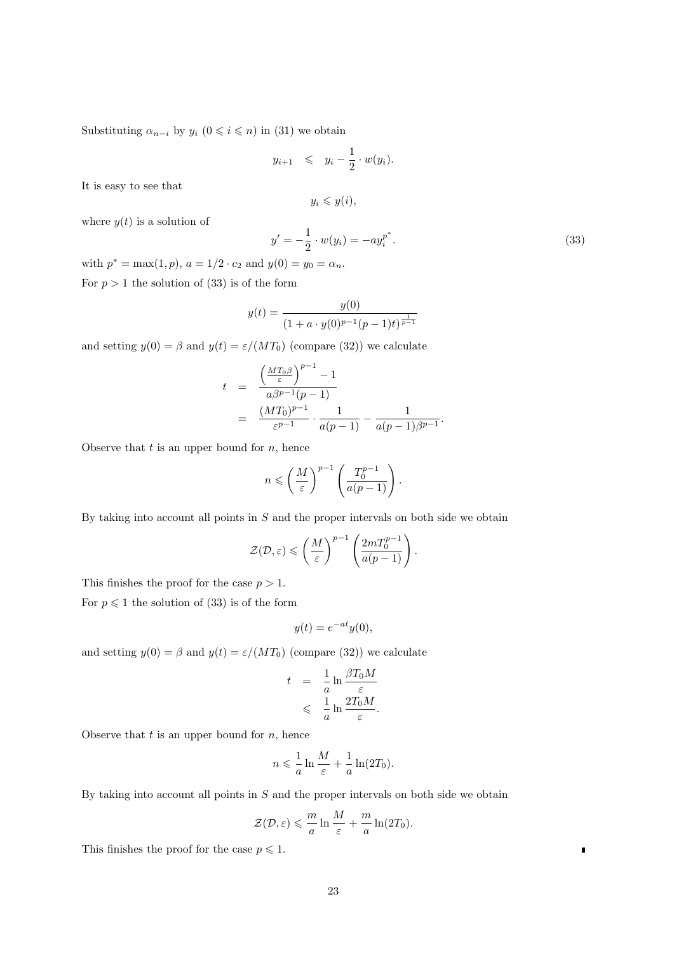Substituting  $\alpha_{n-i}$  by  $y_i$   $(0 \leq i \leq n)$  in (31) we obtain

$$
y_{i+1} \leqslant y_i - \frac{1}{2} \cdot w(y_i).
$$

It is easy to see that

$$
y_i \leqslant y(i),
$$

where  $y(t)$  is a solution of

$$
y' = -\frac{1}{2} \cdot w(y_i) = -ay_i^{p^*}.
$$
\n(33)

with  $p^* = \max(1, p)$ ,  $a = 1/2 \cdot c_2$  and  $y(0) = y_0 = \alpha_n$ . For  $p > 1$  the solution of (33) is of the form

$$
y(t) = \frac{y(0)}{(1 + a \cdot y(0)^{p-1}(p-1)t)^{\frac{1}{p-1}}}
$$

and setting  $y(0) = \beta$  and  $y(t) = \varepsilon/(MT_0)$  (compare (32)) we calculate

$$
t = \frac{\left(\frac{MT_0 \beta}{\varepsilon}\right)^{p-1} - 1}{a \beta^{p-1} (p-1)}
$$
  
= 
$$
\frac{(MT_0)^{p-1}}{\varepsilon^{p-1}} \cdot \frac{1}{a(p-1)} - \frac{1}{a(p-1)\beta^{p-1}}.
$$

Observe that  $t$  is an upper bound for  $n$ , hence

$$
n \leqslant \left(\frac{M}{\varepsilon}\right)^{p-1} \left(\frac{T_0^{p-1}}{a(p-1)}\right).
$$

By taking into account all points in  $S$  and the proper intervals on both side we obtain

$$
\mathcal{Z}(\mathcal{D}, \varepsilon) \leqslant \left(\frac{M}{\varepsilon}\right)^{p-1} \left(\frac{2mT_0^{p-1}}{a(p-1)}\right).
$$

This finishes the proof for the case  $p > 1$ .

For  $p \leq 1$  the solution of (33) is of the form

$$
y(t) = e^{-at}y(0),
$$

and setting  $y(0) = \beta$  and  $y(t) = \varepsilon/(MT_0)$  (compare (32)) we calculate

$$
t = \frac{1}{a} \ln \frac{\beta T_0 M}{\varepsilon}
$$
  
\$\leqslant \frac{1}{a} \ln \frac{2T\_0 M}{\varepsilon}\$.

Observe that  $t$  is an upper bound for  $n$ , hence

$$
n \leqslant \frac{1}{a} \ln \frac{M}{\varepsilon} + \frac{1}{a} \ln(2T_0).
$$

By taking into account all points in  $S$  and the proper intervals on both side we obtain

$$
\mathcal{Z}(\mathcal{D}, \varepsilon) \leqslant \frac{m}{a} \ln \frac{M}{\varepsilon} + \frac{m}{a} \ln(2T_0).
$$

 $\blacksquare$ 

This finishes the proof for the case  $p \leq 1$ .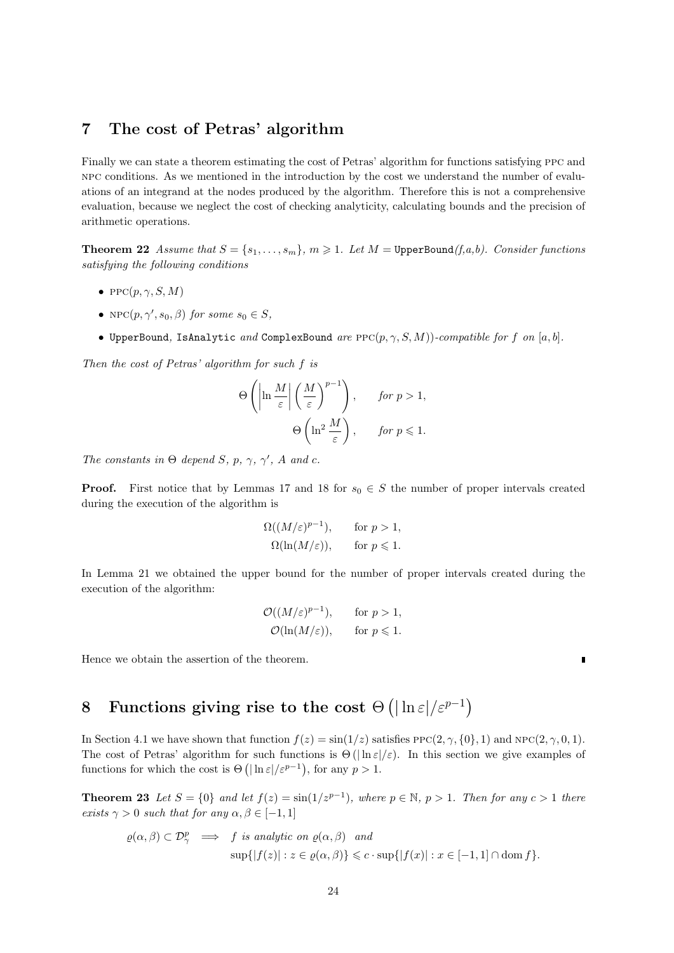## 7 The cost of Petras' algorithm

Finally we can state a theorem estimating the cost of Petras' algorithm for functions satisfying ppc and npc conditions. As we mentioned in the introduction by the cost we understand the number of evaluations of an integrand at the nodes produced by the algorithm. Therefore this is not a comprehensive evaluation, because we neglect the cost of checking analyticity, calculating bounds and the precision of arithmetic operations.

**Theorem 22** Assume that  $S = \{s_1, \ldots, s_m\}$ ,  $m \geq 1$ . Let  $M = \text{UpperBound}(f, a, b)$ . Consider functions satisfying the following conditions

- $\text{PPC}(p, \gamma, S, M)$
- NPC $(p, \gamma', s_0, \beta)$  for some  $s_0 \in S$ ,
- UpperBound, IsAnalytic and ComplexBound are  $\text{PPC}(p, \gamma, S, M)$ )-compatible for f on [a, b].

Then the cost of Petras' algorithm for such f is

$$
\Theta\left(\left|\ln\frac{M}{\varepsilon}\right|\left(\frac{M}{\varepsilon}\right)^{p-1}\right), \quad \text{for } p>1,
$$
  

$$
\Theta\left(\ln^2\frac{M}{\varepsilon}\right), \quad \text{for } p \leq 1.
$$

The constants in  $\Theta$  depend  $S$ ,  $p$ ,  $\gamma$ ,  $\gamma'$ ,  $A$  and  $c$ .

**Proof.** First notice that by Lemmas 17 and 18 for  $s_0 \in S$  the number of proper intervals created during the execution of the algorithm is

$$
\Omega((M/\varepsilon)^{p-1}), \quad \text{for } p > 1,
$$
  

$$
\Omega(\ln(M/\varepsilon)), \quad \text{for } p \leq 1.
$$

In Lemma 21 we obtained the upper bound for the number of proper intervals created during the execution of the algorithm:

$$
\mathcal{O}((M/\varepsilon)^{p-1}), \quad \text{for } p > 1,
$$
  

$$
\mathcal{O}(\ln(M/\varepsilon)), \quad \text{for } p \leq 1.
$$

ī

Hence we obtain the assertion of the theorem.

## 8 Functions giving rise to the cost  $\Theta\left(|\ln \varepsilon|/\varepsilon^{p-1}\right)$

In Section 4.1 we have shown that function  $f(z) = \sin(1/z)$  satisfies  $PPC(2, \gamma, \{0\}, 1)$  and  $NPC(2, \gamma, 0, 1)$ . The cost of Petras' algorithm for such functions is  $\Theta(|\ln \varepsilon|/\varepsilon)$ . In this section we give examples of functions for which the cost is  $\Theta\left(|\ln \varepsilon|/\varepsilon^{p-1}\right)$ , for any  $p > 1$ .

**Theorem 23** Let  $S = \{0\}$  and let  $f(z) = \sin(1/z^{p-1})$ , where  $p \in \mathbb{N}$ ,  $p > 1$ . Then for any  $c > 1$  there exists  $\gamma > 0$  such that for any  $\alpha, \beta \in [-1, 1]$ 

$$
\varrho(\alpha,\beta) \subset \mathcal{D}^p_\gamma \implies f \text{ is analytic on } \varrho(\alpha,\beta) \text{ and}
$$
  
\n
$$
\sup\{|f(z)| : z \in \varrho(\alpha,\beta)\} \leq c \cdot \sup\{|f(x)| : x \in [-1,1] \cap \text{dom } f\}.
$$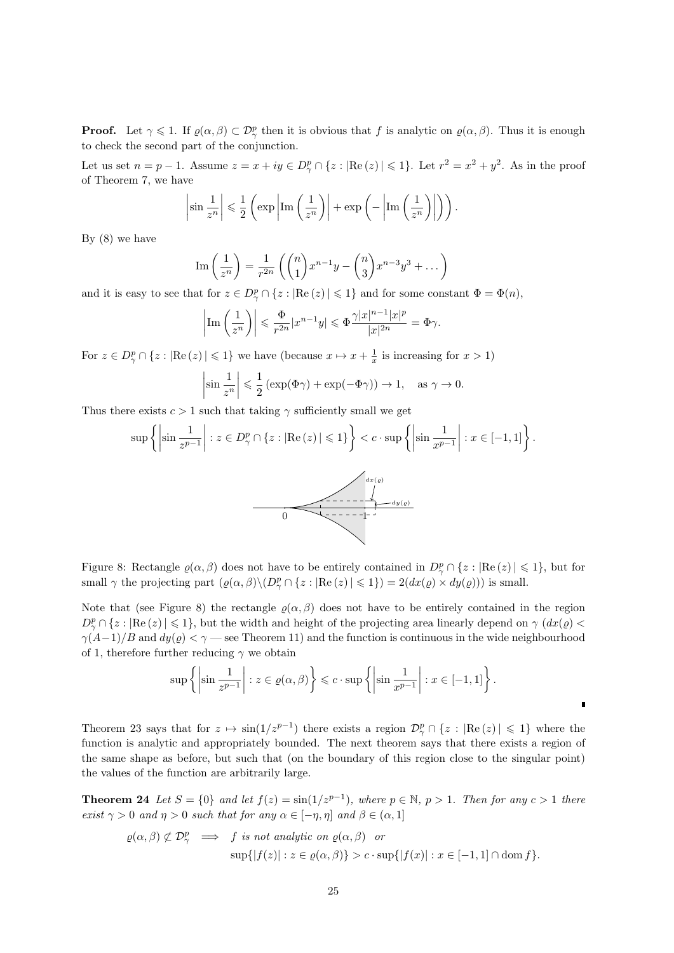**Proof.** Let  $\gamma \leq 1$ . If  $\varrho(\alpha, \beta) \subset \mathcal{D}_{\gamma}^p$  then it is obvious that f is analytic on  $\varrho(\alpha, \beta)$ . Thus it is enough to check the second part of the conjunction.

Let us set  $n = p - 1$ . Assume  $z = x + iy \in D^p_\gamma \cap \{z : |\text{Re}(z)| \leqslant 1\}$ . Let  $r^2 = x^2 + y^2$ . As in the proof of Theorem 7, we have

$$
\left|\sin\frac{1}{z^n}\right| \leqslant \frac{1}{2}\left(\exp\left|\operatorname{Im}\left(\frac{1}{z^n}\right)\right| + \exp\left(-\left|\operatorname{Im}\left(\frac{1}{z^n}\right)\right|\right)\right).
$$

By  $(8)$  we have

Im 
$$
\left(\frac{1}{z^n}\right)
$$
 =  $\frac{1}{r^{2n}} \left(\binom{n}{1} x^{n-1} y - \binom{n}{3} x^{n-3} y^3 + \dots\right)$ 

and it is easy to see that for  $z \in D_{\gamma}^p \cap \{z : | \text{Re}(z) | \leq 1\}$  and for some constant  $\Phi = \Phi(n)$ ,

$$
\left|\operatorname{Im}\left(\frac{1}{z^n}\right)\right| \leqslant \frac{\Phi}{r^{2n}}|x^{n-1}y| \leqslant \Phi \frac{\gamma |x|^{n-1} |x|^p}{|x|^{2n}} = \Phi \gamma.
$$

For  $z \in D_{\gamma}^p \cap \{z : |\text{Re}(z)| \leqslant 1\}$  we have (because  $x \mapsto x + \frac{1}{x}$  is increasing for  $x > 1$ )

$$
\left|\sin\frac{1}{z^n}\right| \leq \frac{1}{2}\left(\exp(\Phi\gamma) + \exp(-\Phi\gamma)\right) \to 1, \quad \text{as } \gamma \to 0.
$$

Thus there exists  $c > 1$  such that taking  $\gamma$  sufficiently small we get

$$
\sup\left\{\left|\sin\frac{1}{z^{p-1}}\right| : z\in D_{\gamma}^p\cap\{z:|\text{Re}(z)|\leqslant 1\}\right\}
$$

Figure 8: Rectangle  $\varrho(\alpha, \beta)$  does not have to be entirely contained in  $D_{\gamma}^p \cap \{z : | \text{Re}(z) | \leq 1\}$ , but for small  $\gamma$  the projecting part  $(\varrho(\alpha, \beta) \setminus (D_{\gamma}^p \cap \{z : | \text{Re}(z) | \leq 1\}) = 2(dx(\varrho) \times dy(\varrho))$  is small.

Note that (see Figure 8) the rectangle  $\rho(\alpha, \beta)$  does not have to be entirely contained in the region  $D_{\gamma}^p \cap \{z : | \text{Re}(z) | \leq 1\}$ , but the width and height of the projecting area linearly depend on  $\gamma$   $(dx(\varrho)$  $\gamma(A-1)/B$  and  $dy(\rho) < \gamma$  — see Theorem 11) and the function is continuous in the wide neighbourhood of 1, therefore further reducing  $\gamma$  we obtain

$$
\sup\left\{\left|\sin\frac{1}{z^{p-1}}\right| : z\in\varrho(\alpha,\beta)\right\}\leqslant c\cdot\sup\left\{\left|\sin\frac{1}{x^{p-1}}\right| : x\in[-1,1]\right\}.
$$

Theorem 23 says that for  $z \mapsto \sin(1/z^{p-1})$  there exists a region  $\mathcal{D}_{\gamma}^p \cap \{z : |\text{Re}(z)| \leq 1\}$  where the function is analytic and appropriately bounded. The next theorem says that there exists a region of the same shape as before, but such that (on the boundary of this region close to the singular point) the values of the function are arbitrarily large.

**Theorem 24** Let  $S = \{0\}$  and let  $f(z) = \sin(1/z^{p-1})$ , where  $p \in \mathbb{N}$ ,  $p > 1$ . Then for any  $c > 1$  there exist  $\gamma > 0$  and  $\eta > 0$  such that for any  $\alpha \in [-\eta, \eta]$  and  $\beta \in (\alpha, 1]$ 

$$
\varrho(\alpha,\beta) \not\subset \mathcal{D}^p_\gamma \implies f \text{ is not analytic on } \varrho(\alpha,\beta) \text{ or}
$$
  

$$
\sup\{|f(z)| : z \in \varrho(\alpha,\beta)\} > c \cdot \sup\{|f(x)| : x \in [-1,1] \cap \text{dom } f\}.
$$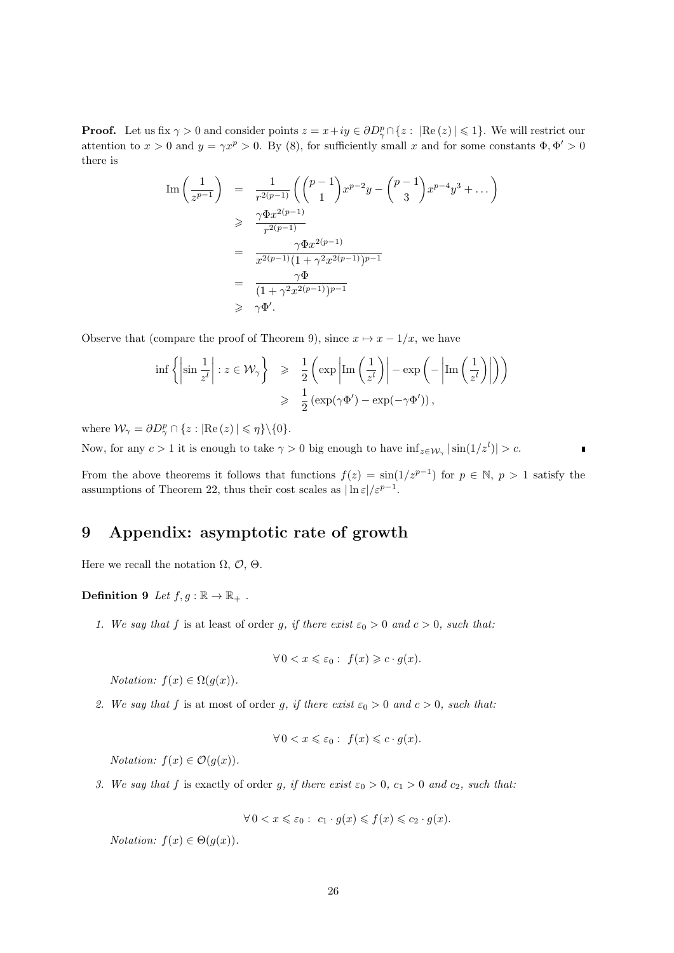**Proof.** Let us fix  $\gamma > 0$  and consider points  $z = x + iy \in \partial D_{\gamma}^p \cap \{z : |\text{Re}(z)| \leq 1\}$ . We will restrict our attention to  $x > 0$  and  $y = \gamma x^p > 0$ . By (8), for sufficiently small x and for some constants  $\Phi, \Phi' > 0$ there is

$$
\begin{array}{rcl}\n\text{Im}\left(\frac{1}{z^{p-1}}\right) & = & \frac{1}{r^{2(p-1)}} \left( \binom{p-1}{1} x^{p-2} y - \binom{p-1}{3} x^{p-4} y^3 + \dots \right) \\
& \geq & \frac{\gamma \Phi x^{2(p-1)}}{r^{2(p-1)}} \\
& = & \frac{\gamma \Phi x^{2(p-1)}}{x^{2(p-1)} (1 + \gamma^2 x^{2(p-1)})^{p-1}} \\
& = & \frac{\gamma \Phi}{(1 + \gamma^2 x^{2(p-1)})^{p-1}} \\
& \geq & \gamma \Phi'.\n\end{array}
$$

Observe that (compare the proof of Theorem 9), since  $x \mapsto x - 1/x$ , we have

$$
\inf \left\{ \left| \sin \frac{1}{z^l} \right| : z \in \mathcal{W}_\gamma \right\} \geq \frac{1}{2} \left( \exp \left| \text{Im} \left( \frac{1}{z^l} \right) \right| - \exp \left( - \left| \text{Im} \left( \frac{1}{z^l} \right) \right| \right) \right)
$$
  

$$
\geq \frac{1}{2} \left( \exp(\gamma \Phi') - \exp(-\gamma \Phi') \right),
$$

where  $\mathcal{W}_{\gamma} = \partial D_{\gamma}^{p} \cap \{z : | \text{Re}(z) | \leqslant \eta \} \setminus \{0\}.$ 

Now, for any  $c > 1$  it is enough to take  $\gamma > 0$  big enough to have  $\inf_{z \in \mathcal{W}_{\gamma}} |\sin(1/z^l)| > c$ .

 $\blacksquare$ 

From the above theorems it follows that functions  $f(z) = \sin(1/z^{p-1})$  for  $p \in \mathbb{N}$ ,  $p > 1$  satisfy the assumptions of Theorem 22, thus their cost scales as  $\ln \varepsilon / \varepsilon^{p-1}$ .

## 9 Appendix: asymptotic rate of growth

Here we recall the notation  $\Omega$ ,  $\mathcal{O}$ ,  $\Theta$ .

Definition 9 Let  $f, g : \mathbb{R} \to \mathbb{R}_+$ .

1. We say that f is at least of order g, if there exist  $\varepsilon_0 > 0$  and  $c > 0$ , such that:

$$
\forall 0 < x \leqslant \varepsilon_0: f(x) \geqslant c \cdot g(x).
$$

Notation:  $f(x) \in \Omega(g(x))$ .

2. We say that f is at most of order g, if there exist  $\varepsilon_0 > 0$  and  $c > 0$ , such that:

$$
\forall 0 < x \leqslant \varepsilon_0: f(x) \leqslant c \cdot g(x).
$$

Notation:  $f(x) \in \mathcal{O}(g(x)).$ 

3. We say that f is exactly of order g, if there exist  $\varepsilon_0 > 0$ ,  $c_1 > 0$  and  $c_2$ , such that:

$$
\forall 0 < x \leqslant \varepsilon_0: \ c_1 \cdot g(x) \leqslant f(x) \leqslant c_2 \cdot g(x).
$$

Notation:  $f(x) \in \Theta(q(x))$ .